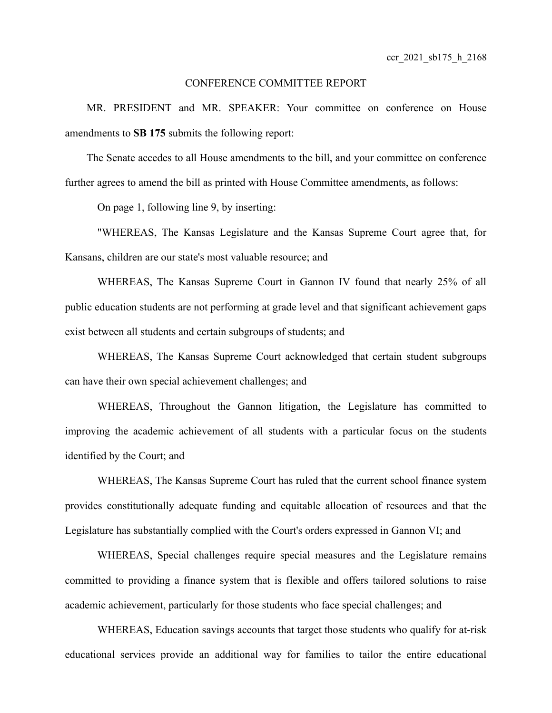## CONFERENCE COMMITTEE REPORT

MR. PRESIDENT and MR. SPEAKER: Your committee on conference on House amendments to **SB 175** submits the following report:

The Senate accedes to all House amendments to the bill, and your committee on conference further agrees to amend the bill as printed with House Committee amendments, as follows:

On page 1, following line 9, by inserting:

"WHEREAS, The Kansas Legislature and the Kansas Supreme Court agree that, for Kansans, children are our state's most valuable resource; and

WHEREAS, The Kansas Supreme Court in Gannon IV found that nearly 25% of all public education students are not performing at grade level and that significant achievement gaps exist between all students and certain subgroups of students; and

WHEREAS, The Kansas Supreme Court acknowledged that certain student subgroups can have their own special achievement challenges; and

WHEREAS, Throughout the Gannon litigation, the Legislature has committed to improving the academic achievement of all students with a particular focus on the students identified by the Court; and

WHEREAS, The Kansas Supreme Court has ruled that the current school finance system provides constitutionally adequate funding and equitable allocation of resources and that the Legislature has substantially complied with the Court's orders expressed in Gannon VI; and

WHEREAS, Special challenges require special measures and the Legislature remains committed to providing a finance system that is flexible and offers tailored solutions to raise academic achievement, particularly for those students who face special challenges; and

WHEREAS, Education savings accounts that target those students who qualify for at-risk educational services provide an additional way for families to tailor the entire educational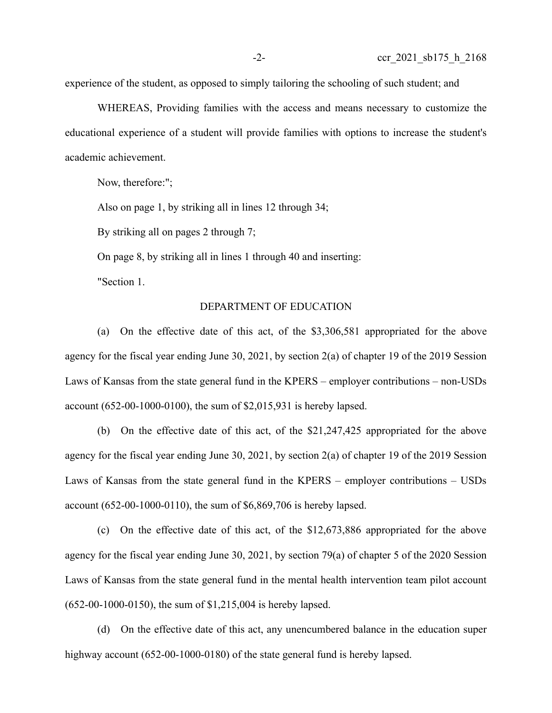experience of the student, as opposed to simply tailoring the schooling of such student; and

WHEREAS, Providing families with the access and means necessary to customize the educational experience of a student will provide families with options to increase the student's academic achievement.

Now, therefore:";

Also on page 1, by striking all in lines 12 through 34;

By striking all on pages 2 through 7;

On page 8, by striking all in lines 1 through 40 and inserting:

"Section 1.

## DEPARTMENT OF EDUCATION

(a) On the effective date of this act, of the \$3,306,581 appropriated for the above agency for the fiscal year ending June 30, 2021, by section 2(a) of chapter 19 of the 2019 Session Laws of Kansas from the state general fund in the KPERS – employer contributions – non-USDs account (652-00-1000-0100), the sum of \$2,015,931 is hereby lapsed.

(b) On the effective date of this act, of the \$21,247,425 appropriated for the above agency for the fiscal year ending June 30, 2021, by section 2(a) of chapter 19 of the 2019 Session Laws of Kansas from the state general fund in the KPERS – employer contributions – USDs account (652-00-1000-0110), the sum of \$6,869,706 is hereby lapsed.

(c) On the effective date of this act, of the \$12,673,886 appropriated for the above agency for the fiscal year ending June 30, 2021, by section 79(a) of chapter 5 of the 2020 Session Laws of Kansas from the state general fund in the mental health intervention team pilot account (652-00-1000-0150), the sum of \$1,215,004 is hereby lapsed.

(d) On the effective date of this act, any unencumbered balance in the education super highway account (652-00-1000-0180) of the state general fund is hereby lapsed.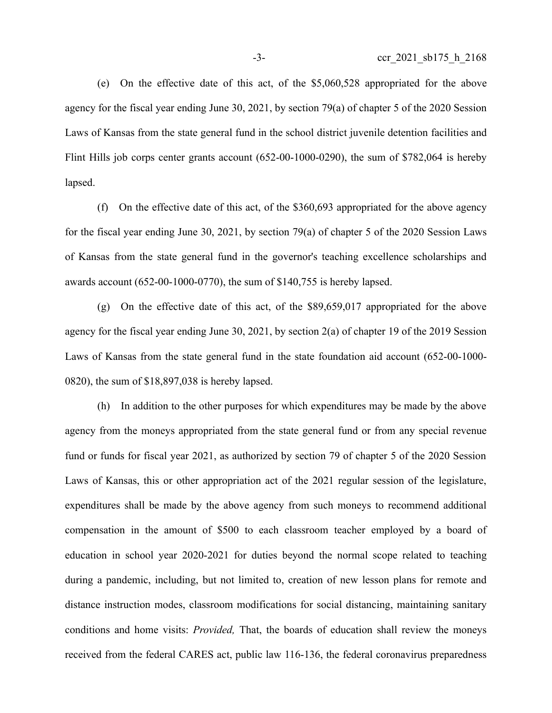(e) On the effective date of this act, of the \$5,060,528 appropriated for the above agency for the fiscal year ending June 30, 2021, by section 79(a) of chapter 5 of the 2020 Session Laws of Kansas from the state general fund in the school district juvenile detention facilities and Flint Hills job corps center grants account (652-00-1000-0290), the sum of \$782,064 is hereby lapsed.

(f) On the effective date of this act, of the \$360,693 appropriated for the above agency for the fiscal year ending June 30, 2021, by section 79(a) of chapter 5 of the 2020 Session Laws of Kansas from the state general fund in the governor's teaching excellence scholarships and awards account (652-00-1000-0770), the sum of \$140,755 is hereby lapsed.

(g) On the effective date of this act, of the \$89,659,017 appropriated for the above agency for the fiscal year ending June 30, 2021, by section 2(a) of chapter 19 of the 2019 Session Laws of Kansas from the state general fund in the state foundation aid account (652-00-1000- 0820), the sum of \$18,897,038 is hereby lapsed.

(h) In addition to the other purposes for which expenditures may be made by the above agency from the moneys appropriated from the state general fund or from any special revenue fund or funds for fiscal year 2021, as authorized by section 79 of chapter 5 of the 2020 Session Laws of Kansas, this or other appropriation act of the 2021 regular session of the legislature, expenditures shall be made by the above agency from such moneys to recommend additional compensation in the amount of \$500 to each classroom teacher employed by a board of education in school year 2020-2021 for duties beyond the normal scope related to teaching during a pandemic, including, but not limited to, creation of new lesson plans for remote and distance instruction modes, classroom modifications for social distancing, maintaining sanitary conditions and home visits: *Provided,* That, the boards of education shall review the moneys received from the federal CARES act, public law 116-136, the federal coronavirus preparedness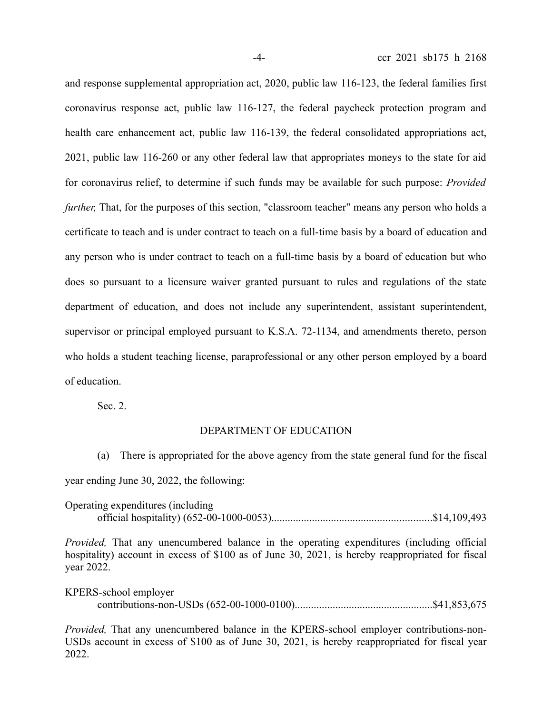and response supplemental appropriation act, 2020, public law 116-123, the federal families first coronavirus response act, public law 116-127, the federal paycheck protection program and health care enhancement act, public law 116-139, the federal consolidated appropriations act, 2021, public law 116-260 or any other federal law that appropriates moneys to the state for aid for coronavirus relief, to determine if such funds may be available for such purpose: *Provided further*, That, for the purposes of this section, "classroom teacher" means any person who holds a certificate to teach and is under contract to teach on a full-time basis by a board of education and any person who is under contract to teach on a full-time basis by a board of education but who does so pursuant to a licensure waiver granted pursuant to rules and regulations of the state department of education, and does not include any superintendent, assistant superintendent, supervisor or principal employed pursuant to K.S.A. 72-1134, and amendments thereto, person who holds a student teaching license, paraprofessional or any other person employed by a board of education.

Sec. 2.

## DEPARTMENT OF EDUCATION

(a) There is appropriated for the above agency from the state general fund for the fiscal year ending June 30, 2022, the following:

| Operating expenditures (including |  |
|-----------------------------------|--|
|                                   |  |

*Provided,* That any unencumbered balance in the operating expenditures (including official hospitality) account in excess of \$100 as of June 30, 2021, is hereby reappropriated for fiscal year 2022.

KPERS-school employer contributions-non-USDs (652-00-1000-0100)...................................................\$41,853,675

*Provided,* That any unencumbered balance in the KPERS-school employer contributions-non-USDs account in excess of \$100 as of June 30, 2021, is hereby reappropriated for fiscal year 2022.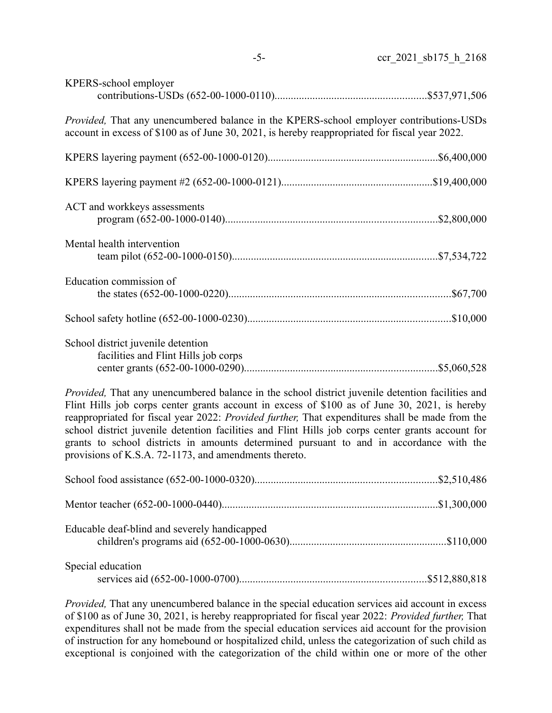| KPERS-school employer                                                                                                                                                                     |  |
|-------------------------------------------------------------------------------------------------------------------------------------------------------------------------------------------|--|
| Provided, That any unencumbered balance in the KPERS-school employer contributions-USDs<br>account in excess of \$100 as of June 30, 2021, is hereby reappropriated for fiscal year 2022. |  |
|                                                                                                                                                                                           |  |
|                                                                                                                                                                                           |  |
| ACT and workkeys assessments                                                                                                                                                              |  |
| Mental health intervention                                                                                                                                                                |  |
| Education commission of                                                                                                                                                                   |  |
|                                                                                                                                                                                           |  |
| School district juvenile detention<br>facilities and Flint Hills job corps                                                                                                                |  |
| <i>Provided</i> That any unancumbered balance in the school district invanile detention facilities and                                                                                    |  |

-5- ccr 2021 sb175 h 2168

*Provided,* That any unencumbered balance in the school district juvenile detention facilities and Flint Hills job corps center grants account in excess of \$100 as of June 30, 2021, is hereby reappropriated for fiscal year 2022: *Provided further,* That expenditures shall be made from the school district juvenile detention facilities and Flint Hills job corps center grants account for grants to school districts in amounts determined pursuant to and in accordance with the provisions of K.S.A. 72-1173, and amendments thereto.

| Educable deaf-blind and severely handicapped |  |
|----------------------------------------------|--|
| Special education                            |  |

*Provided,* That any unencumbered balance in the special education services aid account in excess of \$100 as of June 30, 2021, is hereby reappropriated for fiscal year 2022: *Provided further,* That expenditures shall not be made from the special education services aid account for the provision of instruction for any homebound or hospitalized child, unless the categorization of such child as exceptional is conjoined with the categorization of the child within one or more of the other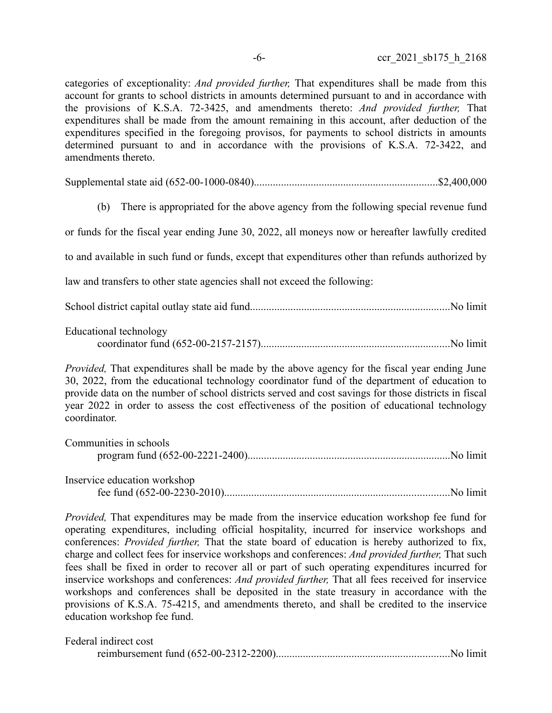categories of exceptionality: *And provided further,* That expenditures shall be made from this account for grants to school districts in amounts determined pursuant to and in accordance with the provisions of K.S.A. 72-3425, and amendments thereto: *And provided further,* That expenditures shall be made from the amount remaining in this account, after deduction of the expenditures specified in the foregoing provisos, for payments to school districts in amounts determined pursuant to and in accordance with the provisions of K.S.A. 72-3422, and amendments thereto.

Supplemental state aid (652-00-1000-0840)....................................................................\$2,400,000

(b) There is appropriated for the above agency from the following special revenue fund

or funds for the fiscal year ending June 30, 2022, all moneys now or hereafter lawfully credited

to and available in such fund or funds, except that expenditures other than refunds authorized by

law and transfers to other state agencies shall not exceed the following:

School district capital outlay state aid fund..........................................................................No limit

| Educational technology |  |  |
|------------------------|--|--|
|                        |  |  |

*Provided*, That expenditures shall be made by the above agency for the fiscal year ending June 30, 2022, from the educational technology coordinator fund of the department of education to provide data on the number of school districts served and cost savings for those districts in fiscal year 2022 in order to assess the cost effectiveness of the position of educational technology coordinator.

| Communities in schools       |  |
|------------------------------|--|
|                              |  |
|                              |  |
| Inservice education workshop |  |

|--|--|--|

*Provided,* That expenditures may be made from the inservice education workshop fee fund for operating expenditures, including official hospitality, incurred for inservice workshops and conferences: *Provided further,* That the state board of education is hereby authorized to fix, charge and collect fees for inservice workshops and conferences: *And provided further,* That such fees shall be fixed in order to recover all or part of such operating expenditures incurred for inservice workshops and conferences: *And provided further,* That all fees received for inservice workshops and conferences shall be deposited in the state treasury in accordance with the provisions of K.S.A. 75-4215, and amendments thereto, and shall be credited to the inservice education workshop fee fund.

| Federal indirect cost |  |
|-----------------------|--|
|                       |  |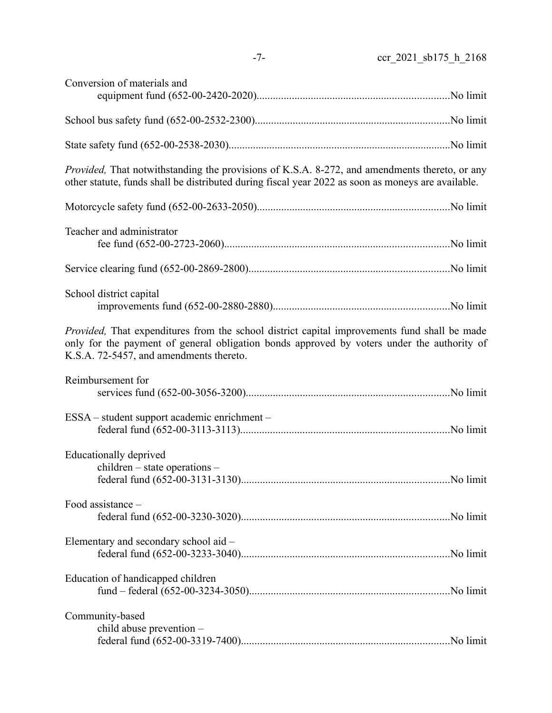| Conversion of materials and                                                                                                                                                                                                           |  |
|---------------------------------------------------------------------------------------------------------------------------------------------------------------------------------------------------------------------------------------|--|
|                                                                                                                                                                                                                                       |  |
|                                                                                                                                                                                                                                       |  |
| Provided, That notwithstanding the provisions of K.S.A. 8-272, and amendments thereto, or any<br>other statute, funds shall be distributed during fiscal year 2022 as soon as moneys are available.                                   |  |
|                                                                                                                                                                                                                                       |  |
| Teacher and administrator                                                                                                                                                                                                             |  |
|                                                                                                                                                                                                                                       |  |
| School district capital                                                                                                                                                                                                               |  |
| Provided, That expenditures from the school district capital improvements fund shall be made<br>only for the payment of general obligation bonds approved by voters under the authority of<br>K.S.A. 72-5457, and amendments thereto. |  |
| Reimbursement for                                                                                                                                                                                                                     |  |
| ESSA – student support academic enrichment –                                                                                                                                                                                          |  |
| Educationally deprived<br>$children - state operations -$                                                                                                                                                                             |  |
| Food assistance -                                                                                                                                                                                                                     |  |
| Elementary and secondary school aid -                                                                                                                                                                                                 |  |
| Education of handicapped children                                                                                                                                                                                                     |  |
| Community-based<br>child abuse prevention -                                                                                                                                                                                           |  |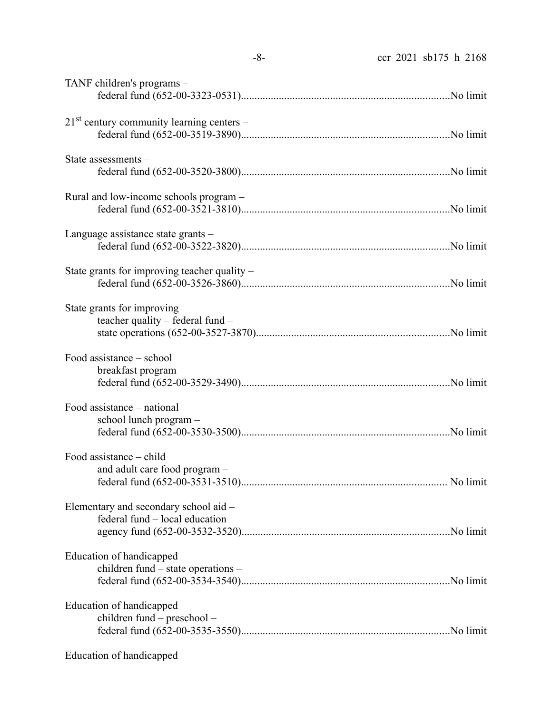| TANF children's programs -                                              |  |
|-------------------------------------------------------------------------|--|
| $21st$ century community learning centers –                             |  |
| State assessments -                                                     |  |
| Rural and low-income schools program -                                  |  |
| Language assistance state grants -                                      |  |
| State grants for improving teacher quality –                            |  |
| State grants for improving<br>teacher quality – federal fund –          |  |
| Food assistance – school<br>breakfast program -                         |  |
| Food assistance – national<br>school lunch program -                    |  |
| Food assistance – child<br>and adult care food program -                |  |
| Elementary and secondary school aid -<br>federal fund – local education |  |
| Education of handicapped<br>children fund – state operations –          |  |
| Education of handicapped<br>children fund - preschool -                 |  |
| Education of handicapped                                                |  |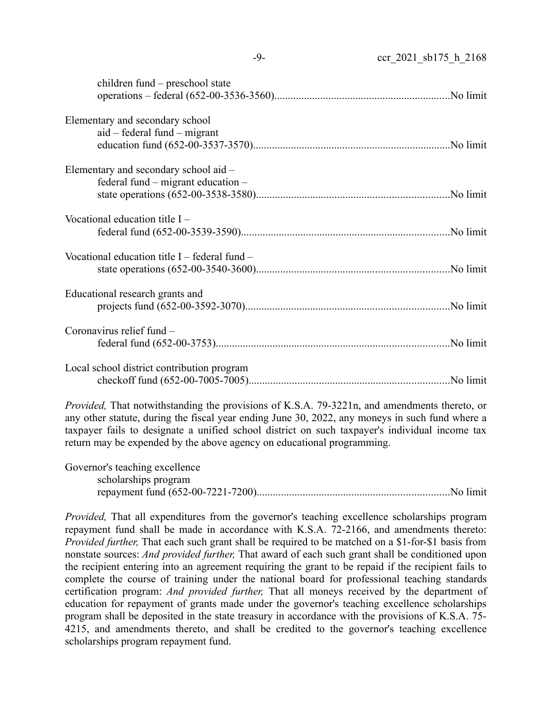| children fund – preschool state                 |  |
|-------------------------------------------------|--|
| Elementary and secondary school                 |  |
| $aid - federal fund - migrant$                  |  |
|                                                 |  |
| Elementary and secondary school aid -           |  |
| federal fund $-$ migrant education $-$          |  |
|                                                 |  |
| Vocational education title $I -$                |  |
|                                                 |  |
| Vocational education title $I$ – federal fund – |  |
|                                                 |  |
| Educational research grants and                 |  |
|                                                 |  |
| Coronavirus relief fund -                       |  |
|                                                 |  |
| Local school district contribution program      |  |
|                                                 |  |
|                                                 |  |

*Provided,* That notwithstanding the provisions of K.S.A. 79-3221n, and amendments thereto, or any other statute, during the fiscal year ending June 30, 2022, any moneys in such fund where a taxpayer fails to designate a unified school district on such taxpayer's individual income tax return may be expended by the above agency on educational programming.

| Governor's teaching excellence |  |
|--------------------------------|--|
| scholarships program           |  |
|                                |  |

*Provided,* That all expenditures from the governor's teaching excellence scholarships program repayment fund shall be made in accordance with K.S.A. 72-2166, and amendments thereto: *Provided further,* That each such grant shall be required to be matched on a \$1-for-\$1 basis from nonstate sources: *And provided further,* That award of each such grant shall be conditioned upon the recipient entering into an agreement requiring the grant to be repaid if the recipient fails to complete the course of training under the national board for professional teaching standards certification program: *And provided further,* That all moneys received by the department of education for repayment of grants made under the governor's teaching excellence scholarships program shall be deposited in the state treasury in accordance with the provisions of K.S.A. 75- 4215, and amendments thereto, and shall be credited to the governor's teaching excellence scholarships program repayment fund.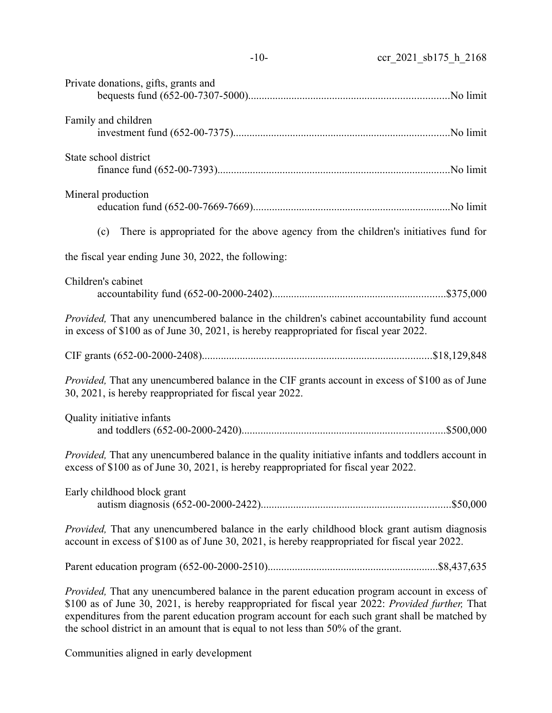| Private donations, gifts, grants and                                                                                                                                                                                                                                                                                                                                                            |
|-------------------------------------------------------------------------------------------------------------------------------------------------------------------------------------------------------------------------------------------------------------------------------------------------------------------------------------------------------------------------------------------------|
| Family and children                                                                                                                                                                                                                                                                                                                                                                             |
| State school district                                                                                                                                                                                                                                                                                                                                                                           |
| Mineral production                                                                                                                                                                                                                                                                                                                                                                              |
| There is appropriated for the above agency from the children's initiatives fund for<br>(c)                                                                                                                                                                                                                                                                                                      |
| the fiscal year ending June 30, 2022, the following:                                                                                                                                                                                                                                                                                                                                            |
| Children's cabinet                                                                                                                                                                                                                                                                                                                                                                              |
| <i>Provided</i> , That any unencumbered balance in the children's cabinet accountability fund account<br>in excess of \$100 as of June 30, 2021, is hereby reappropriated for fiscal year 2022.                                                                                                                                                                                                 |
|                                                                                                                                                                                                                                                                                                                                                                                                 |
| <i>Provided</i> , That any unencumbered balance in the CIF grants account in excess of \$100 as of June<br>30, 2021, is hereby reappropriated for fiscal year 2022.                                                                                                                                                                                                                             |
| Quality initiative infants                                                                                                                                                                                                                                                                                                                                                                      |
| <i>Provided</i> , That any unencumbered balance in the quality initiative infants and toddlers account in<br>excess of \$100 as of June 30, 2021, is hereby reappropriated for fiscal year 2022.                                                                                                                                                                                                |
| Early childhood block grant                                                                                                                                                                                                                                                                                                                                                                     |
| Provided, That any unencumbered balance in the early childhood block grant autism diagnosis<br>account in excess of \$100 as of June 30, 2021, is hereby reappropriated for fiscal year 2022.                                                                                                                                                                                                   |
|                                                                                                                                                                                                                                                                                                                                                                                                 |
| <i>Provided</i> , That any unencumbered balance in the parent education program account in excess of<br>\$100 as of June 30, 2021, is hereby reappropriated for fiscal year 2022: Provided further, That<br>expenditures from the parent education program account for each such grant shall be matched by<br>the school district in an amount that is equal to not less than 50% of the grant. |

Communities aligned in early development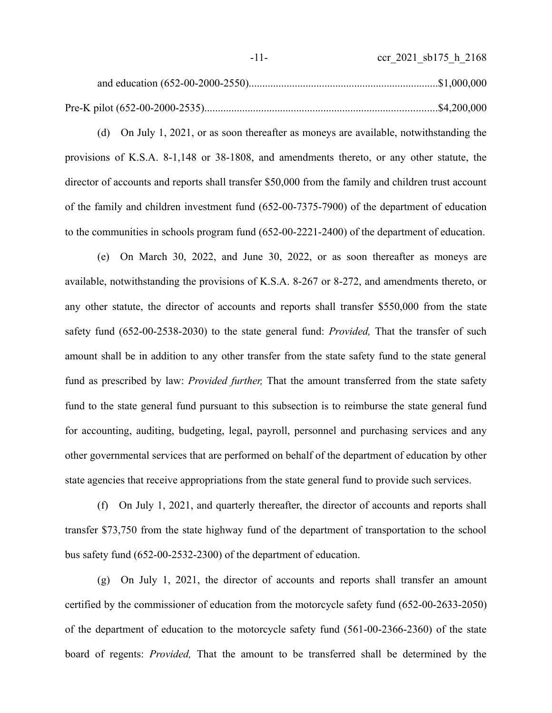-11- ccr 2021 sb175 h 2168

(d) On July 1, 2021, or as soon thereafter as moneys are available, notwithstanding the provisions of K.S.A. 8-1,148 or 38-1808, and amendments thereto, or any other statute, the director of accounts and reports shall transfer \$50,000 from the family and children trust account of the family and children investment fund (652-00-7375-7900) of the department of education to the communities in schools program fund (652-00-2221-2400) of the department of education.

(e) On March 30, 2022, and June 30, 2022, or as soon thereafter as moneys are available, notwithstanding the provisions of K.S.A. 8-267 or 8-272, and amendments thereto, or any other statute, the director of accounts and reports shall transfer \$550,000 from the state safety fund (652-00-2538-2030) to the state general fund: *Provided,* That the transfer of such amount shall be in addition to any other transfer from the state safety fund to the state general fund as prescribed by law: *Provided further,* That the amount transferred from the state safety fund to the state general fund pursuant to this subsection is to reimburse the state general fund for accounting, auditing, budgeting, legal, payroll, personnel and purchasing services and any other governmental services that are performed on behalf of the department of education by other state agencies that receive appropriations from the state general fund to provide such services.

(f) On July 1, 2021, and quarterly thereafter, the director of accounts and reports shall transfer \$73,750 from the state highway fund of the department of transportation to the school bus safety fund (652-00-2532-2300) of the department of education.

(g) On July 1, 2021, the director of accounts and reports shall transfer an amount certified by the commissioner of education from the motorcycle safety fund (652-00-2633-2050) of the department of education to the motorcycle safety fund (561-00-2366-2360) of the state board of regents: *Provided,* That the amount to be transferred shall be determined by the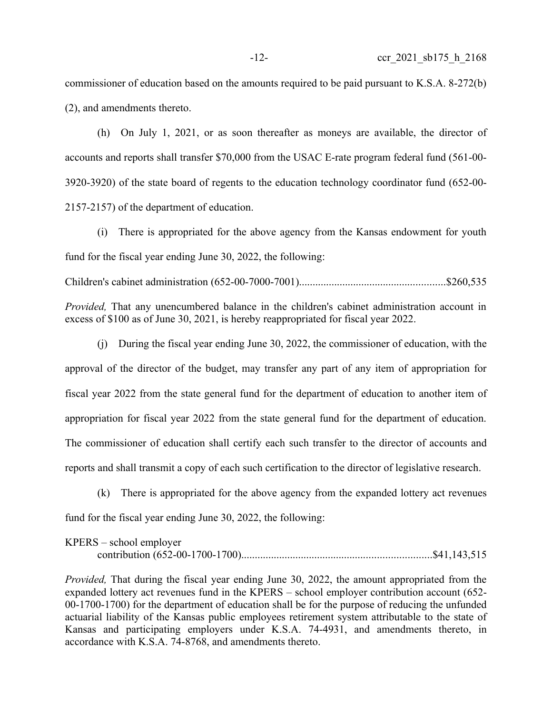commissioner of education based on the amounts required to be paid pursuant to K.S.A. 8-272(b) (2), and amendments thereto.

(h) On July 1, 2021, or as soon thereafter as moneys are available, the director of accounts and reports shall transfer \$70,000 from the USAC E-rate program federal fund (561-00- 3920-3920) of the state board of regents to the education technology coordinator fund (652-00- 2157-2157) of the department of education.

(i) There is appropriated for the above agency from the Kansas endowment for youth fund for the fiscal year ending June 30, 2022, the following:

Children's cabinet administration (652-00-7000-7001)......................................................\$260,535

*Provided,* That any unencumbered balance in the children's cabinet administration account in excess of \$100 as of June 30, 2021, is hereby reappropriated for fiscal year 2022.

(j) During the fiscal year ending June 30, 2022, the commissioner of education, with the approval of the director of the budget, may transfer any part of any item of appropriation for fiscal year 2022 from the state general fund for the department of education to another item of appropriation for fiscal year 2022 from the state general fund for the department of education. The commissioner of education shall certify each such transfer to the director of accounts and reports and shall transmit a copy of each such certification to the director of legislative research.

(k) There is appropriated for the above agency from the expanded lottery act revenues fund for the fiscal year ending June 30, 2022, the following:

| $KPERS - school employer$ |  |
|---------------------------|--|
|                           |  |

*Provided,* That during the fiscal year ending June 30, 2022, the amount appropriated from the expanded lottery act revenues fund in the KPERS – school employer contribution account (652- 00-1700-1700) for the department of education shall be for the purpose of reducing the unfunded actuarial liability of the Kansas public employees retirement system attributable to the state of Kansas and participating employers under K.S.A. 74-4931, and amendments thereto, in accordance with K.S.A. 74-8768, and amendments thereto.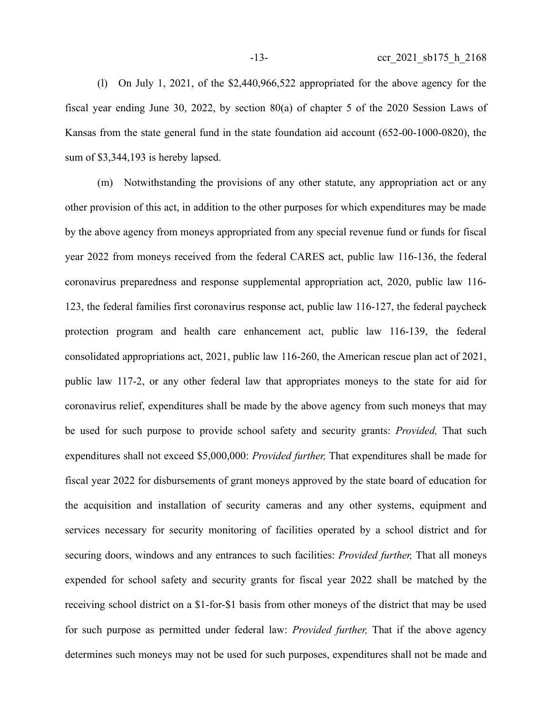(l) On July 1, 2021, of the \$2,440,966,522 appropriated for the above agency for the fiscal year ending June 30, 2022, by section 80(a) of chapter 5 of the 2020 Session Laws of Kansas from the state general fund in the state foundation aid account (652-00-1000-0820), the sum of \$3,344,193 is hereby lapsed.

(m) Notwithstanding the provisions of any other statute, any appropriation act or any other provision of this act, in addition to the other purposes for which expenditures may be made by the above agency from moneys appropriated from any special revenue fund or funds for fiscal year 2022 from moneys received from the federal CARES act, public law 116-136, the federal coronavirus preparedness and response supplemental appropriation act, 2020, public law 116- 123, the federal families first coronavirus response act, public law 116-127, the federal paycheck protection program and health care enhancement act, public law 116-139, the federal consolidated appropriations act, 2021, public law 116-260, the American rescue plan act of 2021, public law 117-2, or any other federal law that appropriates moneys to the state for aid for coronavirus relief, expenditures shall be made by the above agency from such moneys that may be used for such purpose to provide school safety and security grants: *Provided,* That such expenditures shall not exceed \$5,000,000: *Provided further,* That expenditures shall be made for fiscal year 2022 for disbursements of grant moneys approved by the state board of education for the acquisition and installation of security cameras and any other systems, equipment and services necessary for security monitoring of facilities operated by a school district and for securing doors, windows and any entrances to such facilities: *Provided further,* That all moneys expended for school safety and security grants for fiscal year 2022 shall be matched by the receiving school district on a \$1-for-\$1 basis from other moneys of the district that may be used for such purpose as permitted under federal law: *Provided further,* That if the above agency determines such moneys may not be used for such purposes, expenditures shall not be made and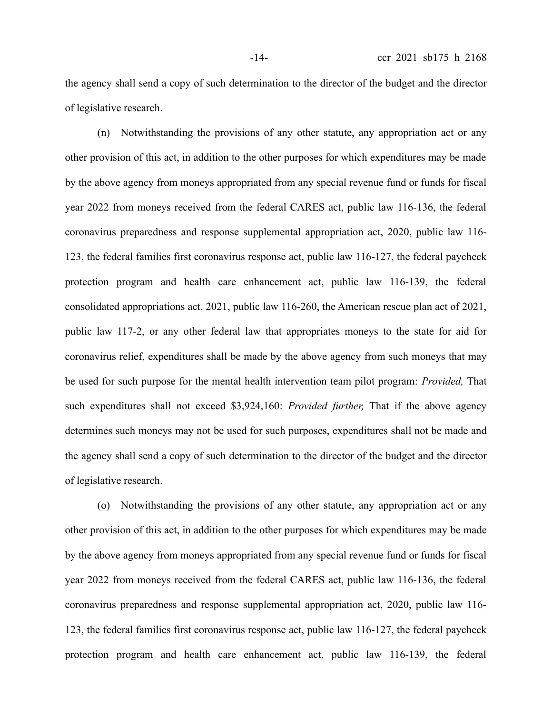the agency shall send a copy of such determination to the director of the budget and the director of legislative research.

(n) Notwithstanding the provisions of any other statute, any appropriation act or any other provision of this act, in addition to the other purposes for which expenditures may be made by the above agency from moneys appropriated from any special revenue fund or funds for fiscal year 2022 from moneys received from the federal CARES act, public law 116-136, the federal coronavirus preparedness and response supplemental appropriation act, 2020, public law 116- 123, the federal families first coronavirus response act, public law 116-127, the federal paycheck protection program and health care enhancement act, public law 116-139, the federal consolidated appropriations act, 2021, public law 116-260, the American rescue plan act of 2021, public law 117-2, or any other federal law that appropriates moneys to the state for aid for coronavirus relief, expenditures shall be made by the above agency from such moneys that may be used for such purpose for the mental health intervention team pilot program: *Provided,* That such expenditures shall not exceed \$3,924,160: *Provided further,* That if the above agency determines such moneys may not be used for such purposes, expenditures shall not be made and the agency shall send a copy of such determination to the director of the budget and the director of legislative research.

(o) Notwithstanding the provisions of any other statute, any appropriation act or any other provision of this act, in addition to the other purposes for which expenditures may be made by the above agency from moneys appropriated from any special revenue fund or funds for fiscal year 2022 from moneys received from the federal CARES act, public law 116-136, the federal coronavirus preparedness and response supplemental appropriation act, 2020, public law 116- 123, the federal families first coronavirus response act, public law 116-127, the federal paycheck protection program and health care enhancement act, public law 116-139, the federal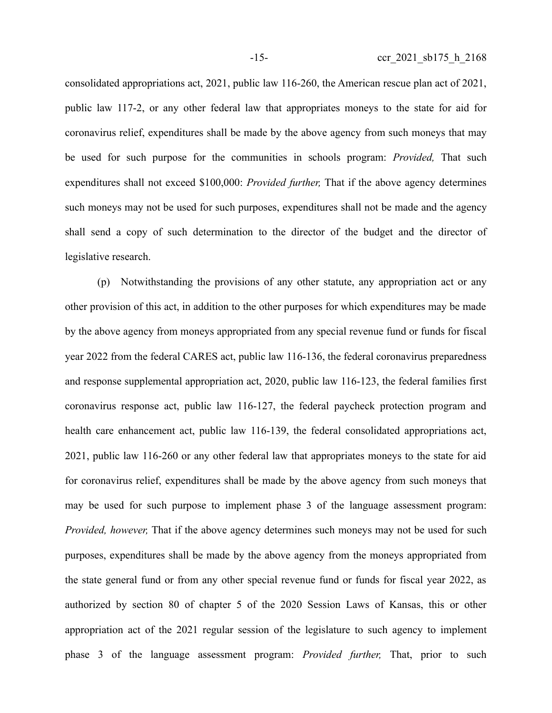consolidated appropriations act, 2021, public law 116-260, the American rescue plan act of 2021, public law 117-2, or any other federal law that appropriates moneys to the state for aid for coronavirus relief, expenditures shall be made by the above agency from such moneys that may be used for such purpose for the communities in schools program: *Provided,* That such expenditures shall not exceed \$100,000: *Provided further,* That if the above agency determines such moneys may not be used for such purposes, expenditures shall not be made and the agency shall send a copy of such determination to the director of the budget and the director of legislative research.

(p) Notwithstanding the provisions of any other statute, any appropriation act or any other provision of this act, in addition to the other purposes for which expenditures may be made by the above agency from moneys appropriated from any special revenue fund or funds for fiscal year 2022 from the federal CARES act, public law 116-136, the federal coronavirus preparedness and response supplemental appropriation act, 2020, public law 116-123, the federal families first coronavirus response act, public law 116-127, the federal paycheck protection program and health care enhancement act, public law 116-139, the federal consolidated appropriations act, 2021, public law 116-260 or any other federal law that appropriates moneys to the state for aid for coronavirus relief, expenditures shall be made by the above agency from such moneys that may be used for such purpose to implement phase 3 of the language assessment program: *Provided, however,* That if the above agency determines such moneys may not be used for such purposes, expenditures shall be made by the above agency from the moneys appropriated from the state general fund or from any other special revenue fund or funds for fiscal year 2022, as authorized by section 80 of chapter 5 of the 2020 Session Laws of Kansas, this or other appropriation act of the 2021 regular session of the legislature to such agency to implement phase 3 of the language assessment program: *Provided further,* That, prior to such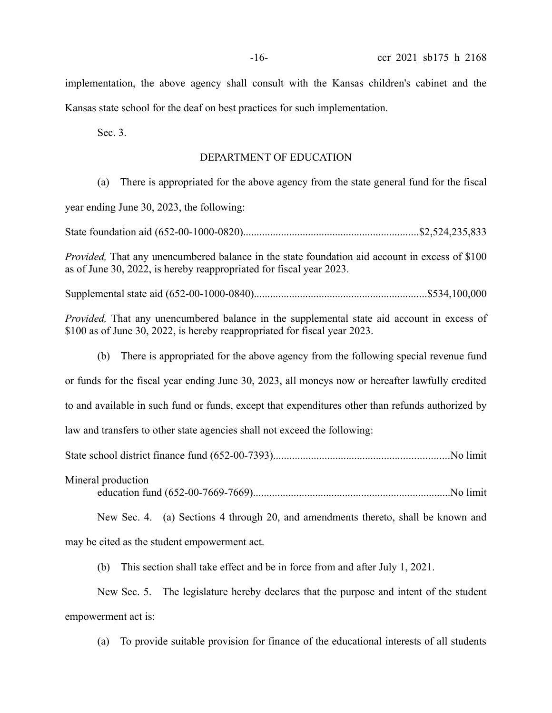Kansas state school for the deaf on best practices for such implementation.

Sec. 3.

## DEPARTMENT OF EDUCATION

(a) There is appropriated for the above agency from the state general fund for the fiscal year ending June 30, 2023, the following:

State foundation aid (652-00-1000-0820).................................................................\$2,524,235,833

*Provided,* That any unencumbered balance in the state foundation aid account in excess of \$100 as of June 30, 2022, is hereby reappropriated for fiscal year 2023.

Supplemental state aid (652-00-1000-0840)................................................................\$534,100,000

*Provided,* That any unencumbered balance in the supplemental state aid account in excess of \$100 as of June 30, 2022, is hereby reappropriated for fiscal year 2023.

(b) There is appropriated for the above agency from the following special revenue fund or funds for the fiscal year ending June 30, 2023, all moneys now or hereafter lawfully credited to and available in such fund or funds, except that expenditures other than refunds authorized by law and transfers to other state agencies shall not exceed the following:

State school district finance fund (652-00-7393).................................................................No limit

Mineral production

education fund (652-00-7669-7669).........................................................................No limit

New Sec. 4. (a) Sections 4 through 20, and amendments thereto, shall be known and may be cited as the student empowerment act.

(b) This section shall take effect and be in force from and after July 1, 2021.

New Sec. 5. The legislature hereby declares that the purpose and intent of the student empowerment act is:

(a) To provide suitable provision for finance of the educational interests of all students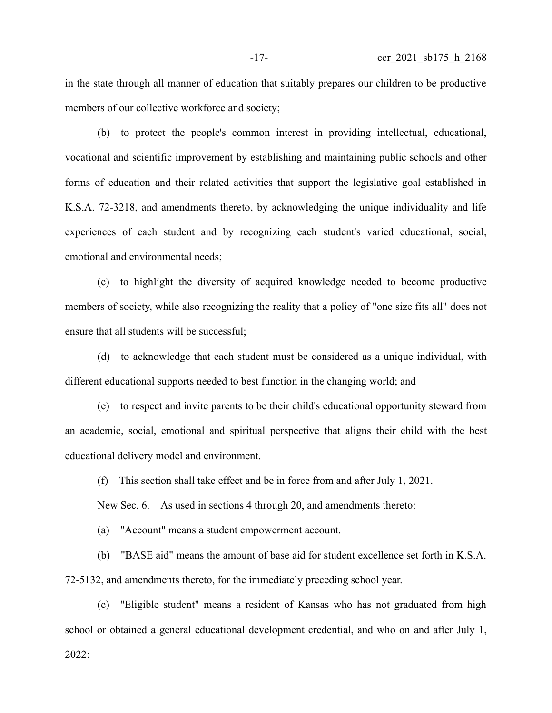in the state through all manner of education that suitably prepares our children to be productive members of our collective workforce and society;

(b) to protect the people's common interest in providing intellectual, educational, vocational and scientific improvement by establishing and maintaining public schools and other forms of education and their related activities that support the legislative goal established in K.S.A. 72-3218, and amendments thereto, by acknowledging the unique individuality and life experiences of each student and by recognizing each student's varied educational, social, emotional and environmental needs;

(c) to highlight the diversity of acquired knowledge needed to become productive members of society, while also recognizing the reality that a policy of "one size fits all" does not ensure that all students will be successful;

(d) to acknowledge that each student must be considered as a unique individual, with different educational supports needed to best function in the changing world; and

(e) to respect and invite parents to be their child's educational opportunity steward from an academic, social, emotional and spiritual perspective that aligns their child with the best educational delivery model and environment.

(f) This section shall take effect and be in force from and after July 1, 2021.

New Sec. 6. As used in sections 4 through 20, and amendments thereto:

(a) "Account" means a student empowerment account.

(b) "BASE aid" means the amount of base aid for student excellence set forth in K.S.A.

72-5132, and amendments thereto, for the immediately preceding school year.

(c) "Eligible student" means a resident of Kansas who has not graduated from high school or obtained a general educational development credential, and who on and after July 1, 2022: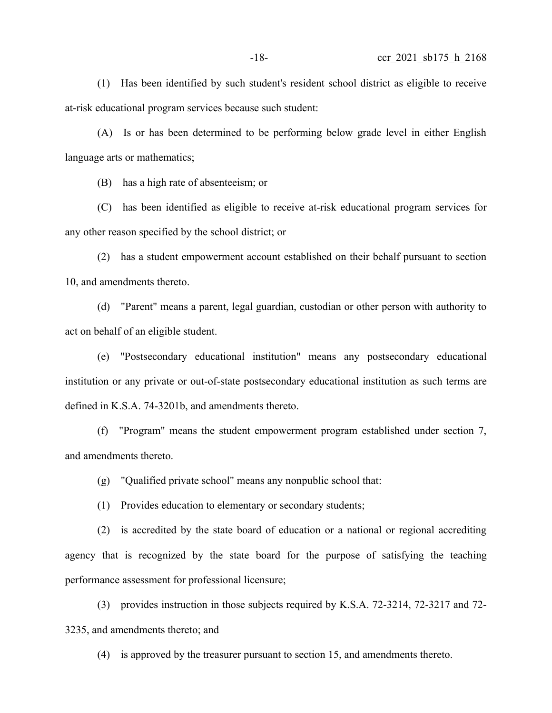(1) Has been identified by such student's resident school district as eligible to receive at-risk educational program services because such student:

(A) Is or has been determined to be performing below grade level in either English language arts or mathematics;

(B) has a high rate of absenteeism; or

(C) has been identified as eligible to receive at-risk educational program services for any other reason specified by the school district; or

(2) has a student empowerment account established on their behalf pursuant to section 10, and amendments thereto.

(d) "Parent" means a parent, legal guardian, custodian or other person with authority to act on behalf of an eligible student.

(e) "Postsecondary educational institution" means any postsecondary educational institution or any private or out-of-state postsecondary educational institution as such terms are defined in K.S.A. 74-3201b, and amendments thereto.

(f) "Program" means the student empowerment program established under section 7, and amendments thereto.

(g) "Qualified private school" means any nonpublic school that:

(1) Provides education to elementary or secondary students;

(2) is accredited by the state board of education or a national or regional accrediting agency that is recognized by the state board for the purpose of satisfying the teaching performance assessment for professional licensure;

(3) provides instruction in those subjects required by K.S.A. 72-3214, 72-3217 and 72- 3235, and amendments thereto; and

(4) is approved by the treasurer pursuant to section 15, and amendments thereto.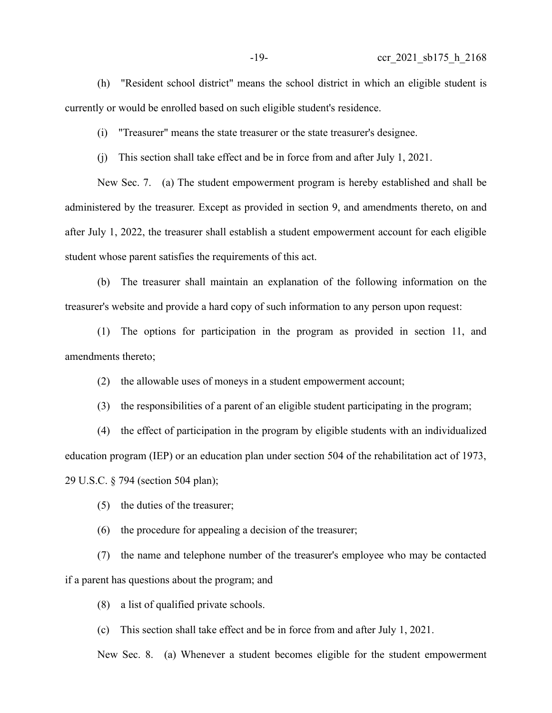(h) "Resident school district" means the school district in which an eligible student is currently or would be enrolled based on such eligible student's residence.

(i) "Treasurer" means the state treasurer or the state treasurer's designee.

(j) This section shall take effect and be in force from and after July 1, 2021.

New Sec. 7. (a) The student empowerment program is hereby established and shall be administered by the treasurer. Except as provided in section 9, and amendments thereto, on and after July 1, 2022, the treasurer shall establish a student empowerment account for each eligible student whose parent satisfies the requirements of this act.

(b) The treasurer shall maintain an explanation of the following information on the treasurer's website and provide a hard copy of such information to any person upon request:

(1) The options for participation in the program as provided in section 11, and amendments thereto;

(2) the allowable uses of moneys in a student empowerment account;

(3) the responsibilities of a parent of an eligible student participating in the program;

(4) the effect of participation in the program by eligible students with an individualized education program (IEP) or an education plan under section 504 of the rehabilitation act of 1973, 29 U.S.C. § 794 (section 504 plan);

(5) the duties of the treasurer;

(6) the procedure for appealing a decision of the treasurer;

(7) the name and telephone number of the treasurer's employee who may be contacted if a parent has questions about the program; and

(8) a list of qualified private schools.

(c) This section shall take effect and be in force from and after July 1, 2021.

New Sec. 8. (a) Whenever a student becomes eligible for the student empowerment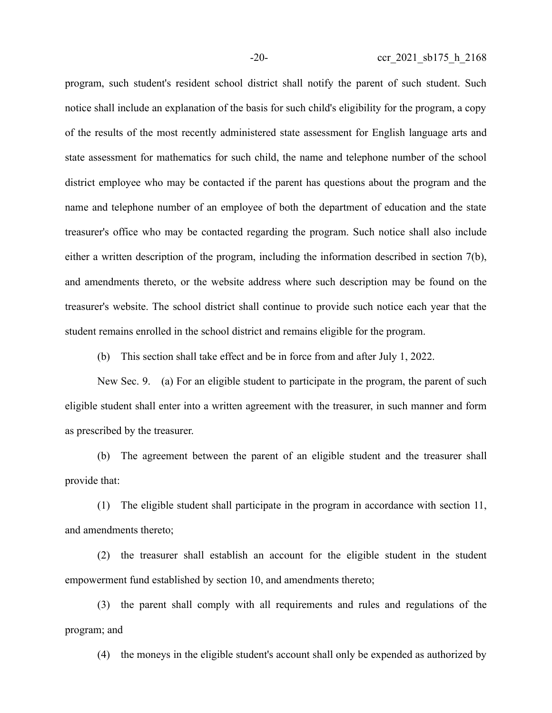program, such student's resident school district shall notify the parent of such student. Such notice shall include an explanation of the basis for such child's eligibility for the program, a copy of the results of the most recently administered state assessment for English language arts and state assessment for mathematics for such child, the name and telephone number of the school district employee who may be contacted if the parent has questions about the program and the name and telephone number of an employee of both the department of education and the state treasurer's office who may be contacted regarding the program. Such notice shall also include either a written description of the program, including the information described in section 7(b), and amendments thereto, or the website address where such description may be found on the treasurer's website. The school district shall continue to provide such notice each year that the student remains enrolled in the school district and remains eligible for the program.

(b) This section shall take effect and be in force from and after July 1, 2022.

New Sec. 9. (a) For an eligible student to participate in the program, the parent of such eligible student shall enter into a written agreement with the treasurer, in such manner and form as prescribed by the treasurer.

(b) The agreement between the parent of an eligible student and the treasurer shall provide that:

(1) The eligible student shall participate in the program in accordance with section 11, and amendments thereto;

(2) the treasurer shall establish an account for the eligible student in the student empowerment fund established by section 10, and amendments thereto;

(3) the parent shall comply with all requirements and rules and regulations of the program; and

(4) the moneys in the eligible student's account shall only be expended as authorized by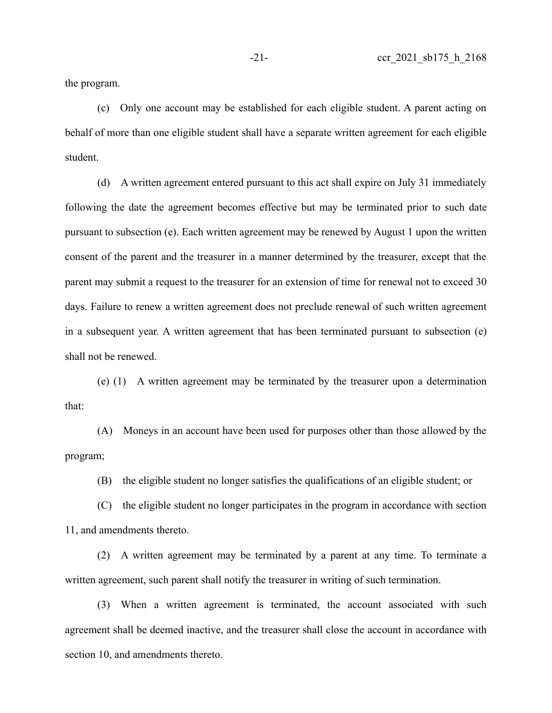the program.

(c) Only one account may be established for each eligible student. A parent acting on behalf of more than one eligible student shall have a separate written agreement for each eligible student.

(d) A written agreement entered pursuant to this act shall expire on July 31 immediately following the date the agreement becomes effective but may be terminated prior to such date pursuant to subsection (e). Each written agreement may be renewed by August 1 upon the written consent of the parent and the treasurer in a manner determined by the treasurer, except that the parent may submit a request to the treasurer for an extension of time for renewal not to exceed 30 days. Failure to renew a written agreement does not preclude renewal of such written agreement in a subsequent year. A written agreement that has been terminated pursuant to subsection (e) shall not be renewed.

(e) (1) A written agreement may be terminated by the treasurer upon a determination that:

(A) Moneys in an account have been used for purposes other than those allowed by the program;

(B) the eligible student no longer satisfies the qualifications of an eligible student; or

(C) the eligible student no longer participates in the program in accordance with section 11, and amendments thereto.

(2) A written agreement may be terminated by a parent at any time. To terminate a written agreement, such parent shall notify the treasurer in writing of such termination.

(3) When a written agreement is terminated, the account associated with such agreement shall be deemed inactive, and the treasurer shall close the account in accordance with section 10, and amendments thereto.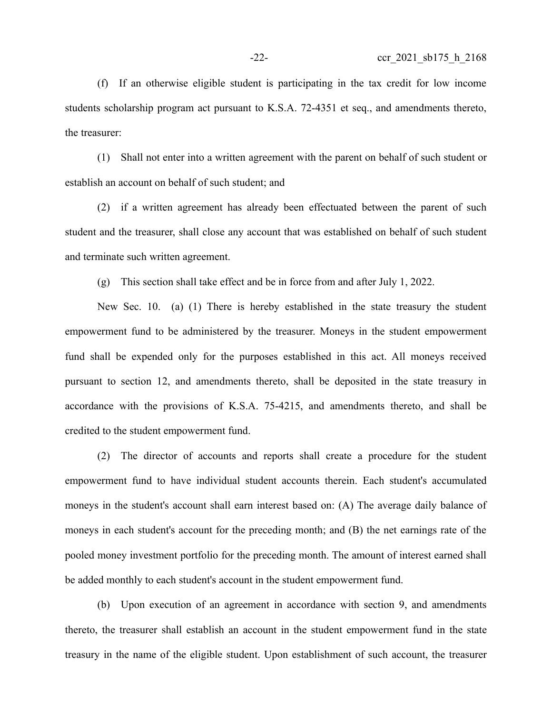(f) If an otherwise eligible student is participating in the tax credit for low income students scholarship program act pursuant to K.S.A. 72-4351 et seq., and amendments thereto, the treasurer:

(1) Shall not enter into a written agreement with the parent on behalf of such student or establish an account on behalf of such student; and

(2) if a written agreement has already been effectuated between the parent of such student and the treasurer, shall close any account that was established on behalf of such student and terminate such written agreement.

(g) This section shall take effect and be in force from and after July 1, 2022.

New Sec. 10. (a) (1) There is hereby established in the state treasury the student empowerment fund to be administered by the treasurer. Moneys in the student empowerment fund shall be expended only for the purposes established in this act. All moneys received pursuant to section 12, and amendments thereto, shall be deposited in the state treasury in accordance with the provisions of K.S.A. 75-4215, and amendments thereto, and shall be credited to the student empowerment fund.

(2) The director of accounts and reports shall create a procedure for the student empowerment fund to have individual student accounts therein. Each student's accumulated moneys in the student's account shall earn interest based on: (A) The average daily balance of moneys in each student's account for the preceding month; and (B) the net earnings rate of the pooled money investment portfolio for the preceding month. The amount of interest earned shall be added monthly to each student's account in the student empowerment fund.

(b) Upon execution of an agreement in accordance with section 9, and amendments thereto, the treasurer shall establish an account in the student empowerment fund in the state treasury in the name of the eligible student. Upon establishment of such account, the treasurer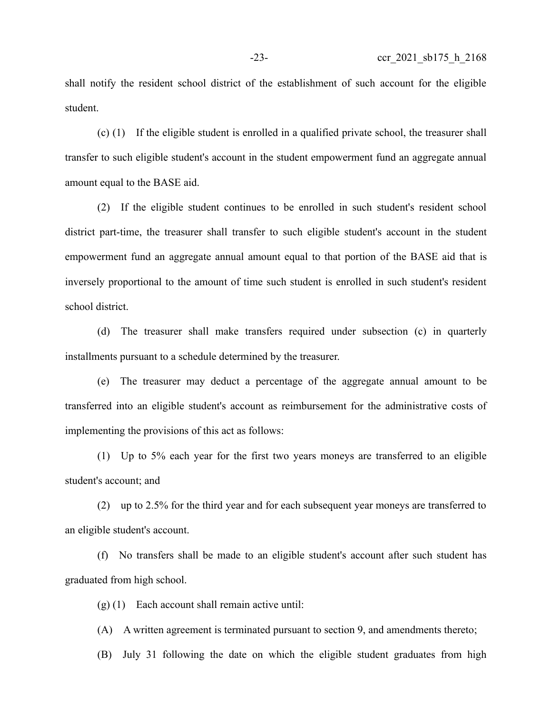shall notify the resident school district of the establishment of such account for the eligible student.

(c) (1) If the eligible student is enrolled in a qualified private school, the treasurer shall transfer to such eligible student's account in the student empowerment fund an aggregate annual amount equal to the BASE aid.

(2) If the eligible student continues to be enrolled in such student's resident school district part-time, the treasurer shall transfer to such eligible student's account in the student empowerment fund an aggregate annual amount equal to that portion of the BASE aid that is inversely proportional to the amount of time such student is enrolled in such student's resident school district.

(d) The treasurer shall make transfers required under subsection (c) in quarterly installments pursuant to a schedule determined by the treasurer.

(e) The treasurer may deduct a percentage of the aggregate annual amount to be transferred into an eligible student's account as reimbursement for the administrative costs of implementing the provisions of this act as follows:

(1) Up to 5% each year for the first two years moneys are transferred to an eligible student's account; and

(2) up to 2.5% for the third year and for each subsequent year moneys are transferred to an eligible student's account.

(f) No transfers shall be made to an eligible student's account after such student has graduated from high school.

(g) (1) Each account shall remain active until:

(A) A written agreement is terminated pursuant to section 9, and amendments thereto;

(B) July 31 following the date on which the eligible student graduates from high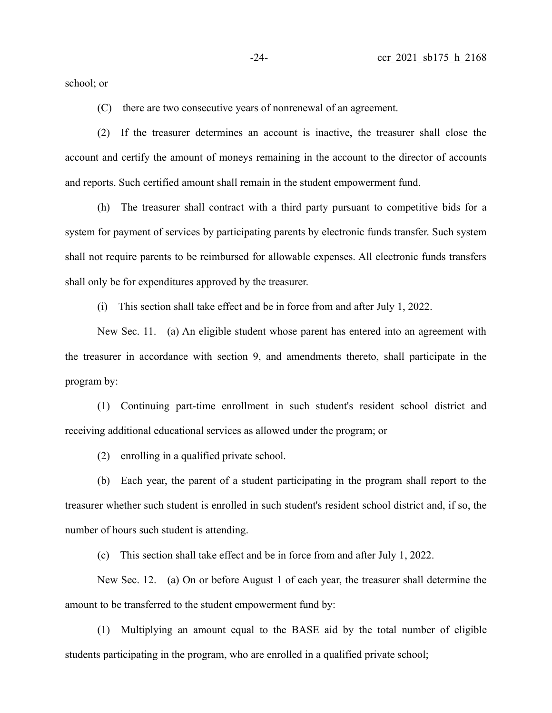school; or

(C) there are two consecutive years of nonrenewal of an agreement.

(2) If the treasurer determines an account is inactive, the treasurer shall close the account and certify the amount of moneys remaining in the account to the director of accounts and reports. Such certified amount shall remain in the student empowerment fund.

(h) The treasurer shall contract with a third party pursuant to competitive bids for a system for payment of services by participating parents by electronic funds transfer. Such system shall not require parents to be reimbursed for allowable expenses. All electronic funds transfers shall only be for expenditures approved by the treasurer.

(i) This section shall take effect and be in force from and after July 1, 2022.

New Sec. 11. (a) An eligible student whose parent has entered into an agreement with the treasurer in accordance with section 9, and amendments thereto, shall participate in the program by:

(1) Continuing part-time enrollment in such student's resident school district and receiving additional educational services as allowed under the program; or

(2) enrolling in a qualified private school.

(b) Each year, the parent of a student participating in the program shall report to the treasurer whether such student is enrolled in such student's resident school district and, if so, the number of hours such student is attending.

(c) This section shall take effect and be in force from and after July 1, 2022.

New Sec. 12. (a) On or before August 1 of each year, the treasurer shall determine the amount to be transferred to the student empowerment fund by:

(1) Multiplying an amount equal to the BASE aid by the total number of eligible students participating in the program, who are enrolled in a qualified private school;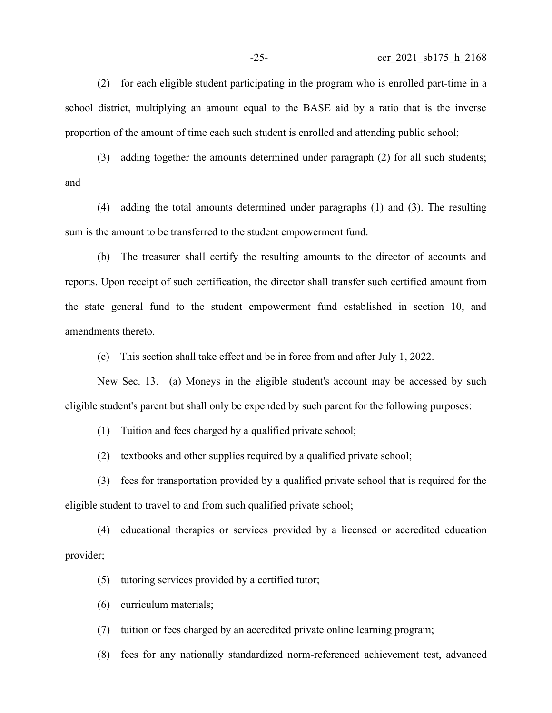(2) for each eligible student participating in the program who is enrolled part-time in a school district, multiplying an amount equal to the BASE aid by a ratio that is the inverse proportion of the amount of time each such student is enrolled and attending public school;

(3) adding together the amounts determined under paragraph (2) for all such students; and

(4) adding the total amounts determined under paragraphs (1) and (3). The resulting sum is the amount to be transferred to the student empowerment fund.

(b) The treasurer shall certify the resulting amounts to the director of accounts and reports. Upon receipt of such certification, the director shall transfer such certified amount from the state general fund to the student empowerment fund established in section 10, and amendments thereto.

(c) This section shall take effect and be in force from and after July 1, 2022.

New Sec. 13. (a) Moneys in the eligible student's account may be accessed by such eligible student's parent but shall only be expended by such parent for the following purposes:

(1) Tuition and fees charged by a qualified private school;

(2) textbooks and other supplies required by a qualified private school;

(3) fees for transportation provided by a qualified private school that is required for the eligible student to travel to and from such qualified private school;

(4) educational therapies or services provided by a licensed or accredited education provider;

(5) tutoring services provided by a certified tutor;

(6) curriculum materials;

(7) tuition or fees charged by an accredited private online learning program;

(8) fees for any nationally standardized norm-referenced achievement test, advanced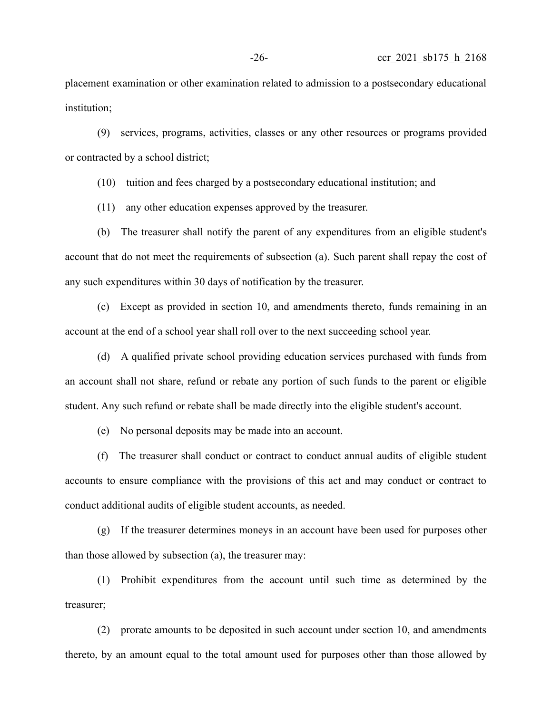placement examination or other examination related to admission to a postsecondary educational institution;

(9) services, programs, activities, classes or any other resources or programs provided or contracted by a school district;

(10) tuition and fees charged by a postsecondary educational institution; and

(11) any other education expenses approved by the treasurer.

(b) The treasurer shall notify the parent of any expenditures from an eligible student's account that do not meet the requirements of subsection (a). Such parent shall repay the cost of any such expenditures within 30 days of notification by the treasurer.

(c) Except as provided in section 10, and amendments thereto, funds remaining in an account at the end of a school year shall roll over to the next succeeding school year.

(d) A qualified private school providing education services purchased with funds from an account shall not share, refund or rebate any portion of such funds to the parent or eligible student. Any such refund or rebate shall be made directly into the eligible student's account.

(e) No personal deposits may be made into an account.

(f) The treasurer shall conduct or contract to conduct annual audits of eligible student accounts to ensure compliance with the provisions of this act and may conduct or contract to conduct additional audits of eligible student accounts, as needed.

(g) If the treasurer determines moneys in an account have been used for purposes other than those allowed by subsection (a), the treasurer may:

(1) Prohibit expenditures from the account until such time as determined by the treasurer;

(2) prorate amounts to be deposited in such account under section 10, and amendments thereto, by an amount equal to the total amount used for purposes other than those allowed by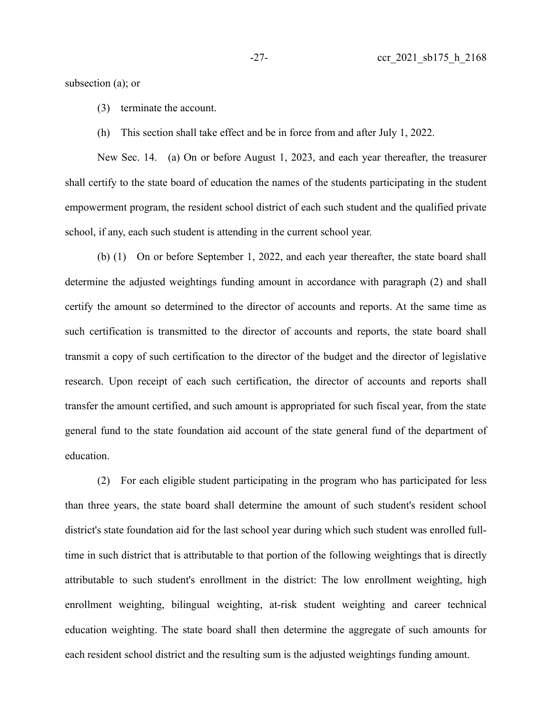subsection (a); or

- (3) terminate the account.
- (h) This section shall take effect and be in force from and after July 1, 2022.

New Sec. 14. (a) On or before August 1, 2023, and each year thereafter, the treasurer shall certify to the state board of education the names of the students participating in the student empowerment program, the resident school district of each such student and the qualified private school, if any, each such student is attending in the current school year.

(b) (1) On or before September 1, 2022, and each year thereafter, the state board shall determine the adjusted weightings funding amount in accordance with paragraph (2) and shall certify the amount so determined to the director of accounts and reports. At the same time as such certification is transmitted to the director of accounts and reports, the state board shall transmit a copy of such certification to the director of the budget and the director of legislative research. Upon receipt of each such certification, the director of accounts and reports shall transfer the amount certified, and such amount is appropriated for such fiscal year, from the state general fund to the state foundation aid account of the state general fund of the department of education.

(2) For each eligible student participating in the program who has participated for less than three years, the state board shall determine the amount of such student's resident school district's state foundation aid for the last school year during which such student was enrolled fulltime in such district that is attributable to that portion of the following weightings that is directly attributable to such student's enrollment in the district: The low enrollment weighting, high enrollment weighting, bilingual weighting, at-risk student weighting and career technical education weighting. The state board shall then determine the aggregate of such amounts for each resident school district and the resulting sum is the adjusted weightings funding amount.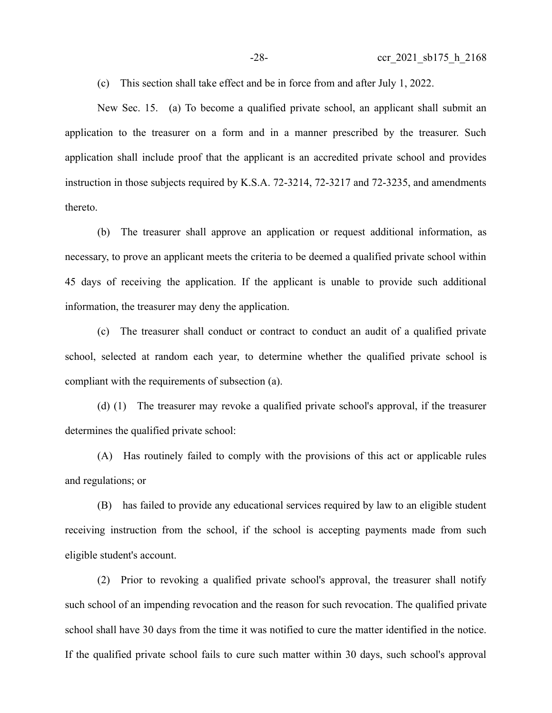(c) This section shall take effect and be in force from and after July 1, 2022.

New Sec. 15. (a) To become a qualified private school, an applicant shall submit an application to the treasurer on a form and in a manner prescribed by the treasurer. Such application shall include proof that the applicant is an accredited private school and provides instruction in those subjects required by K.S.A. 72-3214, 72-3217 and 72-3235, and amendments thereto.

(b) The treasurer shall approve an application or request additional information, as necessary, to prove an applicant meets the criteria to be deemed a qualified private school within 45 days of receiving the application. If the applicant is unable to provide such additional information, the treasurer may deny the application.

(c) The treasurer shall conduct or contract to conduct an audit of a qualified private school, selected at random each year, to determine whether the qualified private school is compliant with the requirements of subsection (a).

(d) (1) The treasurer may revoke a qualified private school's approval, if the treasurer determines the qualified private school:

(A) Has routinely failed to comply with the provisions of this act or applicable rules and regulations; or

(B) has failed to provide any educational services required by law to an eligible student receiving instruction from the school, if the school is accepting payments made from such eligible student's account.

(2) Prior to revoking a qualified private school's approval, the treasurer shall notify such school of an impending revocation and the reason for such revocation. The qualified private school shall have 30 days from the time it was notified to cure the matter identified in the notice. If the qualified private school fails to cure such matter within 30 days, such school's approval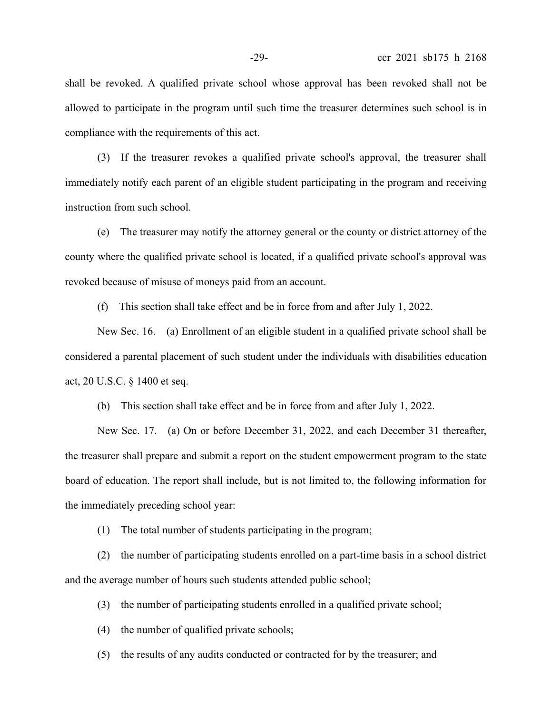shall be revoked. A qualified private school whose approval has been revoked shall not be allowed to participate in the program until such time the treasurer determines such school is in compliance with the requirements of this act.

(3) If the treasurer revokes a qualified private school's approval, the treasurer shall immediately notify each parent of an eligible student participating in the program and receiving instruction from such school.

(e) The treasurer may notify the attorney general or the county or district attorney of the county where the qualified private school is located, if a qualified private school's approval was revoked because of misuse of moneys paid from an account.

(f) This section shall take effect and be in force from and after July 1, 2022.

New Sec. 16. (a) Enrollment of an eligible student in a qualified private school shall be considered a parental placement of such student under the individuals with disabilities education act, 20 U.S.C. § 1400 et seq.

(b) This section shall take effect and be in force from and after July 1, 2022.

New Sec. 17. (a) On or before December 31, 2022, and each December 31 thereafter, the treasurer shall prepare and submit a report on the student empowerment program to the state board of education. The report shall include, but is not limited to, the following information for the immediately preceding school year:

(1) The total number of students participating in the program;

(2) the number of participating students enrolled on a part-time basis in a school district and the average number of hours such students attended public school;

(3) the number of participating students enrolled in a qualified private school;

(4) the number of qualified private schools;

(5) the results of any audits conducted or contracted for by the treasurer; and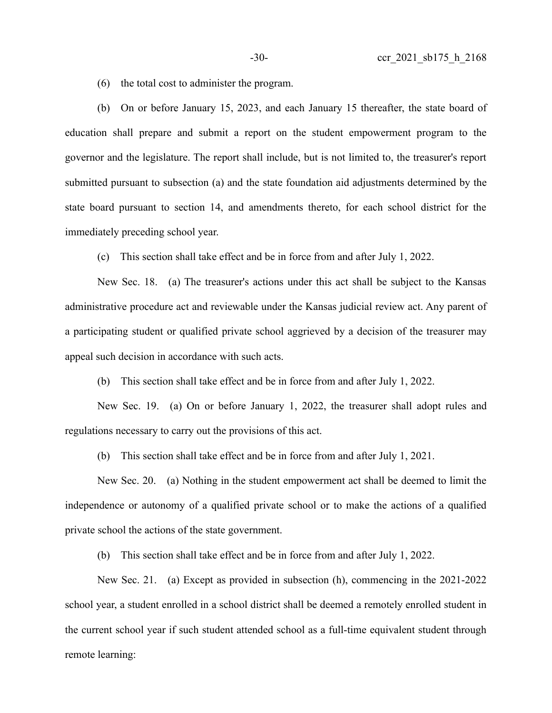(6) the total cost to administer the program.

(b) On or before January 15, 2023, and each January 15 thereafter, the state board of education shall prepare and submit a report on the student empowerment program to the governor and the legislature. The report shall include, but is not limited to, the treasurer's report submitted pursuant to subsection (a) and the state foundation aid adjustments determined by the state board pursuant to section 14, and amendments thereto, for each school district for the immediately preceding school year.

(c) This section shall take effect and be in force from and after July 1, 2022.

New Sec. 18. (a) The treasurer's actions under this act shall be subject to the Kansas administrative procedure act and reviewable under the Kansas judicial review act. Any parent of a participating student or qualified private school aggrieved by a decision of the treasurer may appeal such decision in accordance with such acts.

(b) This section shall take effect and be in force from and after July 1, 2022.

New Sec. 19. (a) On or before January 1, 2022, the treasurer shall adopt rules and regulations necessary to carry out the provisions of this act.

(b) This section shall take effect and be in force from and after July 1, 2021.

New Sec. 20. (a) Nothing in the student empowerment act shall be deemed to limit the independence or autonomy of a qualified private school or to make the actions of a qualified private school the actions of the state government.

(b) This section shall take effect and be in force from and after July 1, 2022.

New Sec. 21. (a) Except as provided in subsection (h), commencing in the 2021-2022 school year, a student enrolled in a school district shall be deemed a remotely enrolled student in the current school year if such student attended school as a full-time equivalent student through remote learning: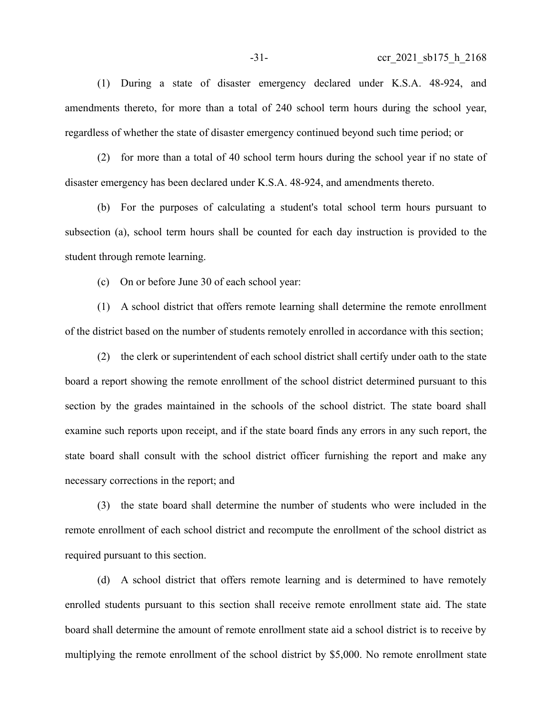(1) During a state of disaster emergency declared under K.S.A. 48-924, and amendments thereto, for more than a total of 240 school term hours during the school year, regardless of whether the state of disaster emergency continued beyond such time period; or

(2) for more than a total of 40 school term hours during the school year if no state of disaster emergency has been declared under K.S.A. 48-924, and amendments thereto.

(b) For the purposes of calculating a student's total school term hours pursuant to subsection (a), school term hours shall be counted for each day instruction is provided to the student through remote learning.

(c) On or before June 30 of each school year:

(1) A school district that offers remote learning shall determine the remote enrollment of the district based on the number of students remotely enrolled in accordance with this section;

(2) the clerk or superintendent of each school district shall certify under oath to the state board a report showing the remote enrollment of the school district determined pursuant to this section by the grades maintained in the schools of the school district. The state board shall examine such reports upon receipt, and if the state board finds any errors in any such report, the state board shall consult with the school district officer furnishing the report and make any necessary corrections in the report; and

(3) the state board shall determine the number of students who were included in the remote enrollment of each school district and recompute the enrollment of the school district as required pursuant to this section.

(d) A school district that offers remote learning and is determined to have remotely enrolled students pursuant to this section shall receive remote enrollment state aid. The state board shall determine the amount of remote enrollment state aid a school district is to receive by multiplying the remote enrollment of the school district by \$5,000. No remote enrollment state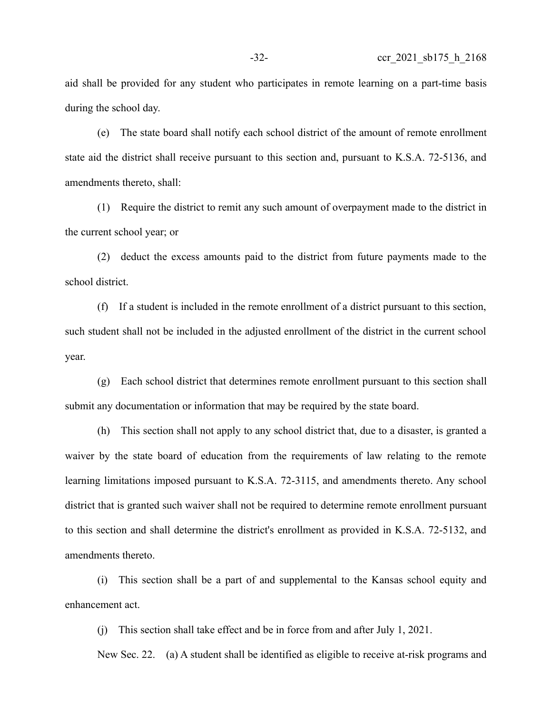aid shall be provided for any student who participates in remote learning on a part-time basis during the school day.

(e) The state board shall notify each school district of the amount of remote enrollment state aid the district shall receive pursuant to this section and, pursuant to K.S.A. 72-5136, and amendments thereto, shall:

(1) Require the district to remit any such amount of overpayment made to the district in the current school year; or

(2) deduct the excess amounts paid to the district from future payments made to the school district.

(f) If a student is included in the remote enrollment of a district pursuant to this section, such student shall not be included in the adjusted enrollment of the district in the current school year.

(g) Each school district that determines remote enrollment pursuant to this section shall submit any documentation or information that may be required by the state board.

(h) This section shall not apply to any school district that, due to a disaster, is granted a waiver by the state board of education from the requirements of law relating to the remote learning limitations imposed pursuant to K.S.A. 72-3115, and amendments thereto. Any school district that is granted such waiver shall not be required to determine remote enrollment pursuant to this section and shall determine the district's enrollment as provided in K.S.A. 72-5132, and amendments thereto.

(i) This section shall be a part of and supplemental to the Kansas school equity and enhancement act.

(j) This section shall take effect and be in force from and after July 1, 2021.

New Sec. 22. (a) A student shall be identified as eligible to receive at-risk programs and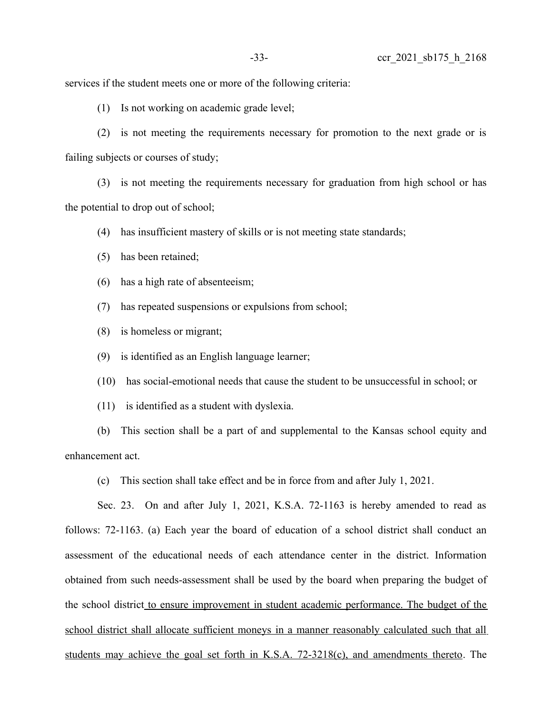services if the student meets one or more of the following criteria:

(1) Is not working on academic grade level;

(2) is not meeting the requirements necessary for promotion to the next grade or is failing subjects or courses of study;

(3) is not meeting the requirements necessary for graduation from high school or has the potential to drop out of school;

(4) has insufficient mastery of skills or is not meeting state standards;

(5) has been retained;

(6) has a high rate of absenteeism;

(7) has repeated suspensions or expulsions from school;

(8) is homeless or migrant;

(9) is identified as an English language learner;

(10) has social-emotional needs that cause the student to be unsuccessful in school; or

(11) is identified as a student with dyslexia.

(b) This section shall be a part of and supplemental to the Kansas school equity and enhancement act.

(c) This section shall take effect and be in force from and after July 1, 2021.

Sec. 23. On and after July 1, 2021, K.S.A. 72-1163 is hereby amended to read as follows: 72-1163. (a) Each year the board of education of a school district shall conduct an assessment of the educational needs of each attendance center in the district. Information obtained from such needs-assessment shall be used by the board when preparing the budget of the school district to ensure improvement in student academic performance. The budget of the school district shall allocate sufficient moneys in a manner reasonably calculated such that all students may achieve the goal set forth in K.S.A. 72-3218(c), and amendments thereto. The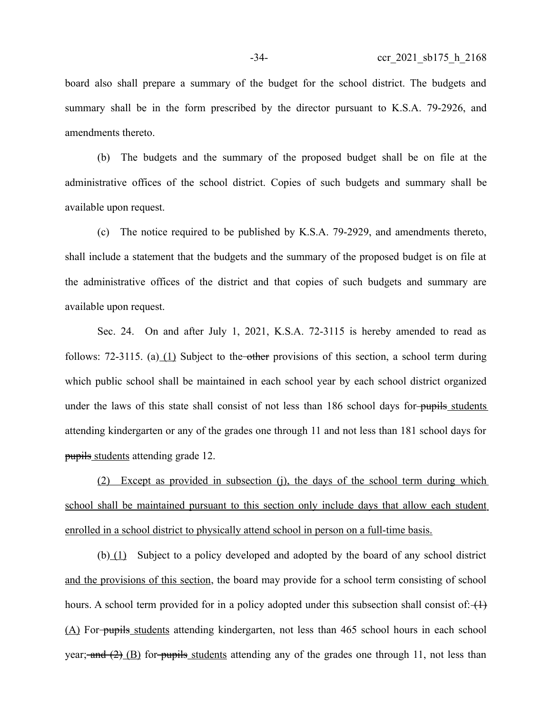board also shall prepare a summary of the budget for the school district. The budgets and summary shall be in the form prescribed by the director pursuant to K.S.A. 79-2926, and amendments thereto.

(b) The budgets and the summary of the proposed budget shall be on file at the administrative offices of the school district. Copies of such budgets and summary shall be available upon request.

(c) The notice required to be published by K.S.A. 79-2929, and amendments thereto, shall include a statement that the budgets and the summary of the proposed budget is on file at the administrative offices of the district and that copies of such budgets and summary are available upon request.

Sec. 24. On and after July 1, 2021, K.S.A. 72-3115 is hereby amended to read as follows: 72-3115. (a)  $(1)$  Subject to the other provisions of this section, a school term during which public school shall be maintained in each school year by each school district organized under the laws of this state shall consist of not less than 186 school days for pupils students attending kindergarten or any of the grades one through 11 and not less than 181 school days for pupils students attending grade 12.

(2) Except as provided in subsection (j), the days of the school term during which school shall be maintained pursuant to this section only include days that allow each student enrolled in a school district to physically attend school in person on a full-time basis.

(b) (1) Subject to a policy developed and adopted by the board of any school district and the provisions of this section, the board may provide for a school term consisting of school hours. A school term provided for in a policy adopted under this subsection shall consist of:  $(1)$ (A) For pupils students attending kindergarten, not less than 465 school hours in each school year; and  $(2)$  (B) for pupils students attending any of the grades one through 11, not less than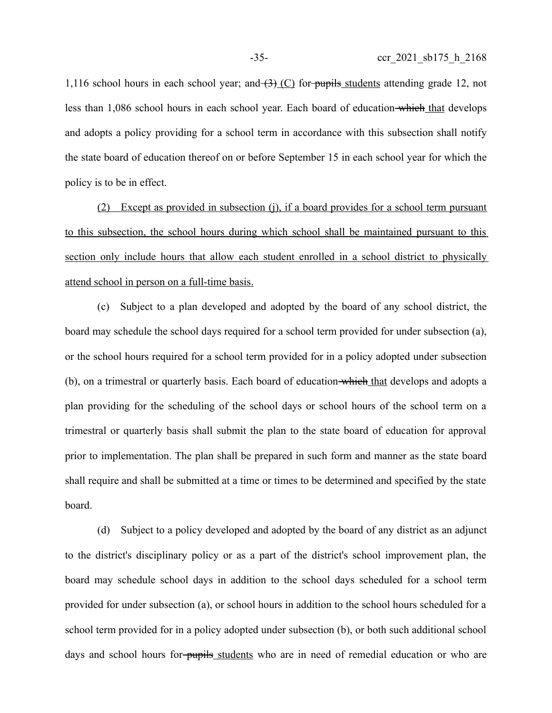1,116 school hours in each school year; and  $\left(3\right)$  (C) for pupils students attending grade 12, not less than 1,086 school hours in each school year. Each board of education which that develops and adopts a policy providing for a school term in accordance with this subsection shall notify the state board of education thereof on or before September 15 in each school year for which the policy is to be in effect.

(2) Except as provided in subsection (j), if a board provides for a school term pursuant to this subsection, the school hours during which school shall be maintained pursuant to this section only include hours that allow each student enrolled in a school district to physically attend school in person on a full-time basis.

(c) Subject to a plan developed and adopted by the board of any school district, the board may schedule the school days required for a school term provided for under subsection (a), or the school hours required for a school term provided for in a policy adopted under subsection (b), on a trimestral or quarterly basis. Each board of education which that develops and adopts a plan providing for the scheduling of the school days or school hours of the school term on a trimestral or quarterly basis shall submit the plan to the state board of education for approval prior to implementation. The plan shall be prepared in such form and manner as the state board shall require and shall be submitted at a time or times to be determined and specified by the state board.

(d) Subject to a policy developed and adopted by the board of any district as an adjunct to the district's disciplinary policy or as a part of the district's school improvement plan, the board may schedule school days in addition to the school days scheduled for a school term provided for under subsection (a), or school hours in addition to the school hours scheduled for a school term provided for in a policy adopted under subsection (b), or both such additional school days and school hours for-pupils students who are in need of remedial education or who are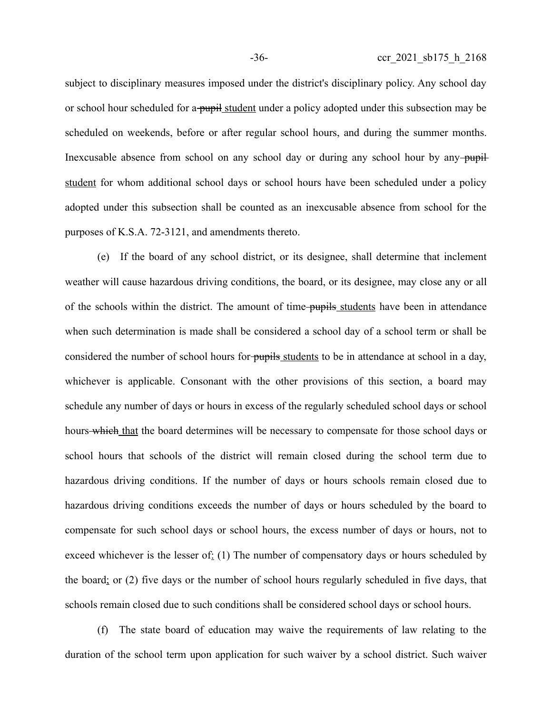subject to disciplinary measures imposed under the district's disciplinary policy. Any school day or school hour scheduled for a pupil student under a policy adopted under this subsection may be scheduled on weekends, before or after regular school hours, and during the summer months. Inexcusable absence from school on any school day or during any school hour by any-pupilstudent for whom additional school days or school hours have been scheduled under a policy adopted under this subsection shall be counted as an inexcusable absence from school for the purposes of K.S.A. 72-3121, and amendments thereto.

(e) If the board of any school district, or its designee, shall determine that inclement weather will cause hazardous driving conditions, the board, or its designee, may close any or all of the schools within the district. The amount of time-pupils students have been in attendance when such determination is made shall be considered a school day of a school term or shall be considered the number of school hours for pupils students to be in attendance at school in a day, whichever is applicable. Consonant with the other provisions of this section, a board may schedule any number of days or hours in excess of the regularly scheduled school days or school hours which that the board determines will be necessary to compensate for those school days or school hours that schools of the district will remain closed during the school term due to hazardous driving conditions. If the number of days or hours schools remain closed due to hazardous driving conditions exceeds the number of days or hours scheduled by the board to compensate for such school days or school hours, the excess number of days or hours, not to exceed whichever is the lesser of  $(1)$ . The number of compensatory days or hours scheduled by the board; or (2) five days or the number of school hours regularly scheduled in five days, that schools remain closed due to such conditions shall be considered school days or school hours.

(f) The state board of education may waive the requirements of law relating to the duration of the school term upon application for such waiver by a school district. Such waiver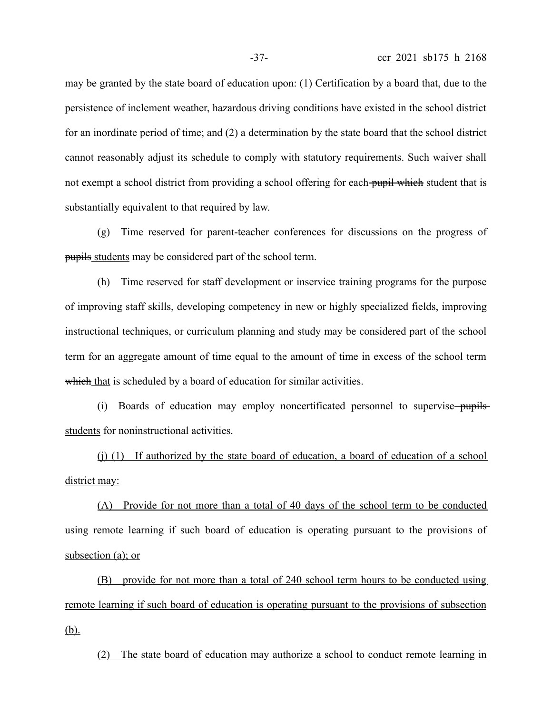may be granted by the state board of education upon: (1) Certification by a board that, due to the persistence of inclement weather, hazardous driving conditions have existed in the school district for an inordinate period of time; and (2) a determination by the state board that the school district cannot reasonably adjust its schedule to comply with statutory requirements. Such waiver shall not exempt a school district from providing a school offering for each pupil which student that is substantially equivalent to that required by law.

(g) Time reserved for parent-teacher conferences for discussions on the progress of pupils students may be considered part of the school term.

(h) Time reserved for staff development or inservice training programs for the purpose of improving staff skills, developing competency in new or highly specialized fields, improving instructional techniques, or curriculum planning and study may be considered part of the school term for an aggregate amount of time equal to the amount of time in excess of the school term which that is scheduled by a board of education for similar activities.

(i) Boards of education may employ noncertificated personnel to supervise—pupilsstudents for noninstructional activities.

(j) (1) If authorized by the state board of education, a board of education of a school district may:

(A) Provide for not more than a total of 40 days of the school term to be conducted using remote learning if such board of education is operating pursuant to the provisions of subsection (a); or

(B) provide for not more than a total of 240 school term hours to be conducted using remote learning if such board of education is operating pursuant to the provisions of subsection (b).

(2) The state board of education may authorize a school to conduct remote learning in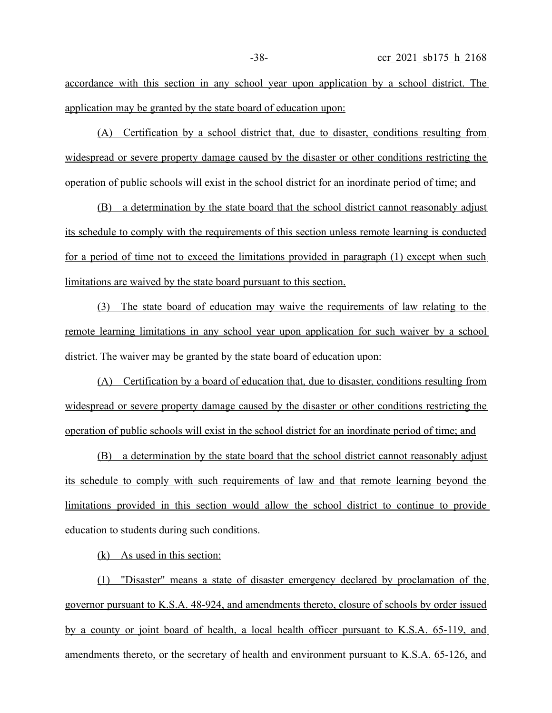accordance with this section in any school year upon application by a school district. The application may be granted by the state board of education upon:

(A) Certification by a school district that, due to disaster, conditions resulting from widespread or severe property damage caused by the disaster or other conditions restricting the operation of public schools will exist in the school district for an inordinate period of time; and

(B) a determination by the state board that the school district cannot reasonably adjust its schedule to comply with the requirements of this section unless remote learning is conducted for a period of time not to exceed the limitations provided in paragraph (1) except when such limitations are waived by the state board pursuant to this section.

(3) The state board of education may waive the requirements of law relating to the remote learning limitations in any school year upon application for such waiver by a school district. The waiver may be granted by the state board of education upon:

(A) Certification by a board of education that, due to disaster, conditions resulting from widespread or severe property damage caused by the disaster or other conditions restricting the operation of public schools will exist in the school district for an inordinate period of time; and

(B) a determination by the state board that the school district cannot reasonably adjust its schedule to comply with such requirements of law and that remote learning beyond the limitations provided in this section would allow the school district to continue to provide education to students during such conditions.

(k) As used in this section:

(1) "Disaster" means a state of disaster emergency declared by proclamation of the governor pursuant to K.S.A. 48-924, and amendments thereto, closure of schools by order issued by a county or joint board of health, a local health officer pursuant to K.S.A. 65-119, and amendments thereto, or the secretary of health and environment pursuant to K.S.A. 65-126, and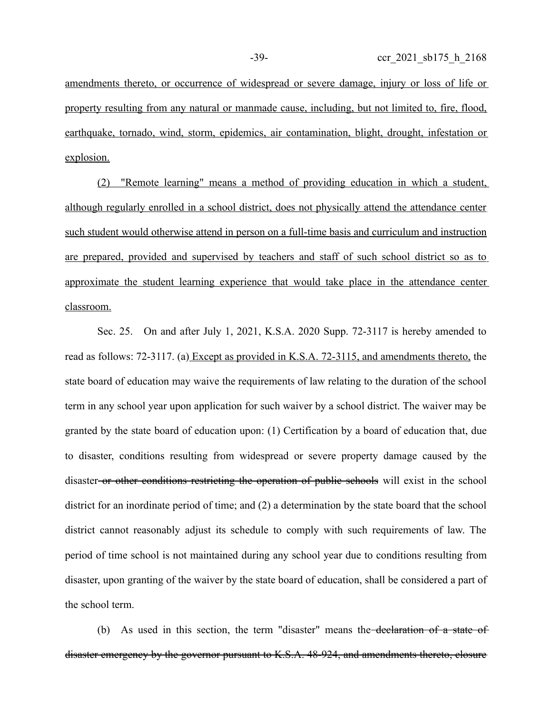amendments thereto, or occurrence of widespread or severe damage, injury or loss of life or property resulting from any natural or manmade cause, including, but not limited to, fire, flood, earthquake, tornado, wind, storm, epidemics, air contamination, blight, drought, infestation or explosion.

(2) "Remote learning" means a method of providing education in which a student, although regularly enrolled in a school district, does not physically attend the attendance center such student would otherwise attend in person on a full-time basis and curriculum and instruction are prepared, provided and supervised by teachers and staff of such school district so as to approximate the student learning experience that would take place in the attendance center classroom.

Sec. 25. On and after July 1, 2021, K.S.A. 2020 Supp. 72-3117 is hereby amended to read as follows: 72-3117. (a) Except as provided in K.S.A. 72-3115, and amendments thereto, the state board of education may waive the requirements of law relating to the duration of the school term in any school year upon application for such waiver by a school district. The waiver may be granted by the state board of education upon: (1) Certification by a board of education that, due to disaster, conditions resulting from widespread or severe property damage caused by the disaster-or other conditions restricting the operation of public schools will exist in the school district for an inordinate period of time; and (2) a determination by the state board that the school district cannot reasonably adjust its schedule to comply with such requirements of law. The period of time school is not maintained during any school year due to conditions resulting from disaster, upon granting of the waiver by the state board of education, shall be considered a part of the school term.

(b) As used in this section, the term "disaster" means the declaration of a state of disaster emergency by the governor pursuant to K.S.A. 48-924, and amendments thereto, closure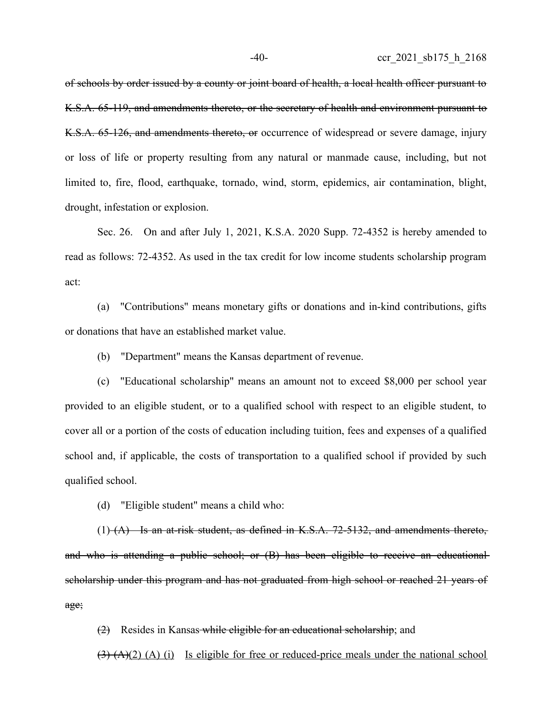of schools by order issued by a county or joint board of health, a local health officer pursuant to K.S.A. 65-119, and amendments thereto, or the secretary of health and environment pursuant to K.S.A. 65-126, and amendments thereto, or occurrence of widespread or severe damage, injury or loss of life or property resulting from any natural or manmade cause, including, but not limited to, fire, flood, earthquake, tornado, wind, storm, epidemics, air contamination, blight, drought, infestation or explosion.

Sec. 26. On and after July 1, 2021, K.S.A. 2020 Supp. 72-4352 is hereby amended to read as follows: 72-4352. As used in the tax credit for low income students scholarship program act:

(a) "Contributions" means monetary gifts or donations and in-kind contributions, gifts or donations that have an established market value.

(b) "Department" means the Kansas department of revenue.

(c) "Educational scholarship" means an amount not to exceed \$8,000 per school year provided to an eligible student, or to a qualified school with respect to an eligible student, to cover all or a portion of the costs of education including tuition, fees and expenses of a qualified school and, if applicable, the costs of transportation to a qualified school if provided by such qualified school.

(d) "Eligible student" means a child who:

 $(1)$   $(A)$  Is an at-risk student, as defined in K.S.A. 72-5132, and amendments thereto, and who is attending a public school; or (B) has been eligible to receive an educational scholarship under this program and has not graduated from high school or reached 21 years of age;

(2) Resides in Kansas while eligible for an educational scholarship; and

 $(3)$   $(A)(2)$   $(A)$   $(i)$  Is eligible for free or reduced-price meals under the national school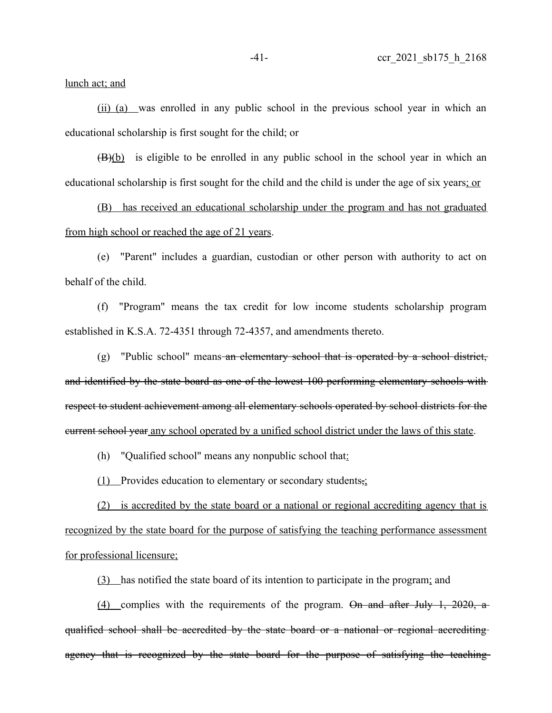lunch act; and

(ii) (a) was enrolled in any public school in the previous school year in which an educational scholarship is first sought for the child; or

 $(\overline{B})(b)$  is eligible to be enrolled in any public school in the school year in which an educational scholarship is first sought for the child and the child is under the age of six years; or

 (B) has received an educational scholarship under the program and has not graduated from high school or reached the age of 21 years.

(e) "Parent" includes a guardian, custodian or other person with authority to act on behalf of the child.

(f) "Program" means the tax credit for low income students scholarship program established in K.S.A. 72-4351 through 72-4357, and amendments thereto.

(g) "Public school" means an elementary school that is operated by a school district, and identified by the state board as one of the lowest 100 performing elementary schools with respect to student achievement among all elementary schools operated by school districts for the current school year any school operated by a unified school district under the laws of this state.

(h) "Qualified school" means any nonpublic school that:

(1) Provides education to elementary or secondary students,;

 (2) is accredited by the state board or a national or regional accrediting agency that is recognized by the state board for the purpose of satisfying the teaching performance assessment for professional licensure;

(3) has notified the state board of its intention to participate in the program; and

(4) complies with the requirements of the program. On and after July 1, 2020, a qualified school shall be accredited by the state board or a national or regional accrediting agency that is recognized by the state board for the purpose of satisfying the teaching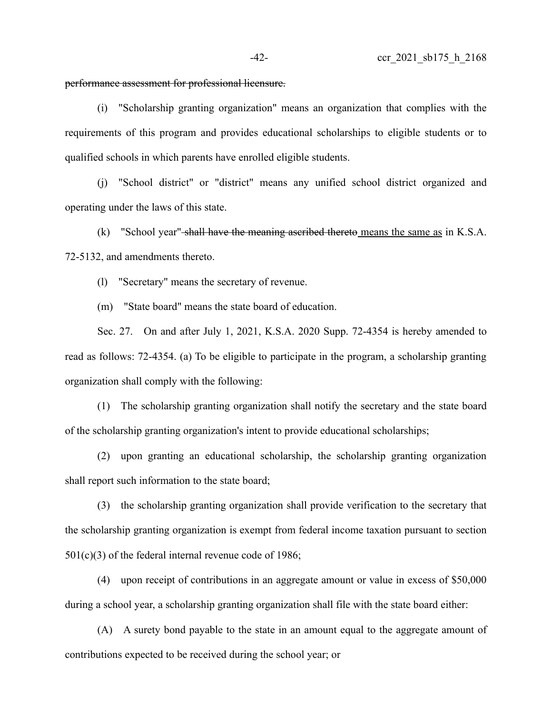## performance assessment for professional licensure.

(i) "Scholarship granting organization" means an organization that complies with the requirements of this program and provides educational scholarships to eligible students or to qualified schools in which parents have enrolled eligible students.

(j) "School district" or "district" means any unified school district organized and operating under the laws of this state.

(k) "School year" shall have the meaning ascribed thereto means the same as in K.S.A. 72-5132, and amendments thereto.

(l) "Secretary" means the secretary of revenue.

(m) "State board" means the state board of education.

Sec. 27. On and after July 1, 2021, K.S.A. 2020 Supp. 72-4354 is hereby amended to read as follows: 72-4354. (a) To be eligible to participate in the program, a scholarship granting organization shall comply with the following:

(1) The scholarship granting organization shall notify the secretary and the state board of the scholarship granting organization's intent to provide educational scholarships;

(2) upon granting an educational scholarship, the scholarship granting organization shall report such information to the state board;

(3) the scholarship granting organization shall provide verification to the secretary that the scholarship granting organization is exempt from federal income taxation pursuant to section 501(c)(3) of the federal internal revenue code of 1986;

(4) upon receipt of contributions in an aggregate amount or value in excess of \$50,000 during a school year, a scholarship granting organization shall file with the state board either:

(A) A surety bond payable to the state in an amount equal to the aggregate amount of contributions expected to be received during the school year; or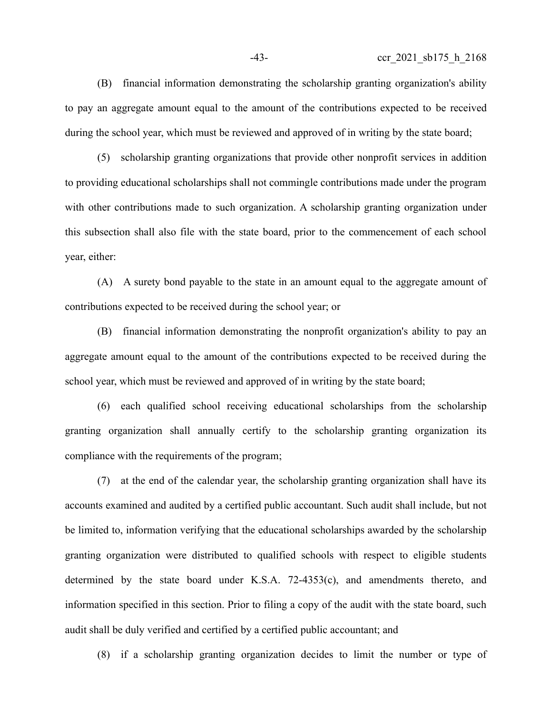(B) financial information demonstrating the scholarship granting organization's ability to pay an aggregate amount equal to the amount of the contributions expected to be received during the school year, which must be reviewed and approved of in writing by the state board;

(5) scholarship granting organizations that provide other nonprofit services in addition to providing educational scholarships shall not commingle contributions made under the program with other contributions made to such organization. A scholarship granting organization under this subsection shall also file with the state board, prior to the commencement of each school year, either:

(A) A surety bond payable to the state in an amount equal to the aggregate amount of contributions expected to be received during the school year; or

(B) financial information demonstrating the nonprofit organization's ability to pay an aggregate amount equal to the amount of the contributions expected to be received during the school year, which must be reviewed and approved of in writing by the state board;

(6) each qualified school receiving educational scholarships from the scholarship granting organization shall annually certify to the scholarship granting organization its compliance with the requirements of the program;

(7) at the end of the calendar year, the scholarship granting organization shall have its accounts examined and audited by a certified public accountant. Such audit shall include, but not be limited to, information verifying that the educational scholarships awarded by the scholarship granting organization were distributed to qualified schools with respect to eligible students determined by the state board under K.S.A. 72-4353(c), and amendments thereto, and information specified in this section. Prior to filing a copy of the audit with the state board, such audit shall be duly verified and certified by a certified public accountant; and

(8) if a scholarship granting organization decides to limit the number or type of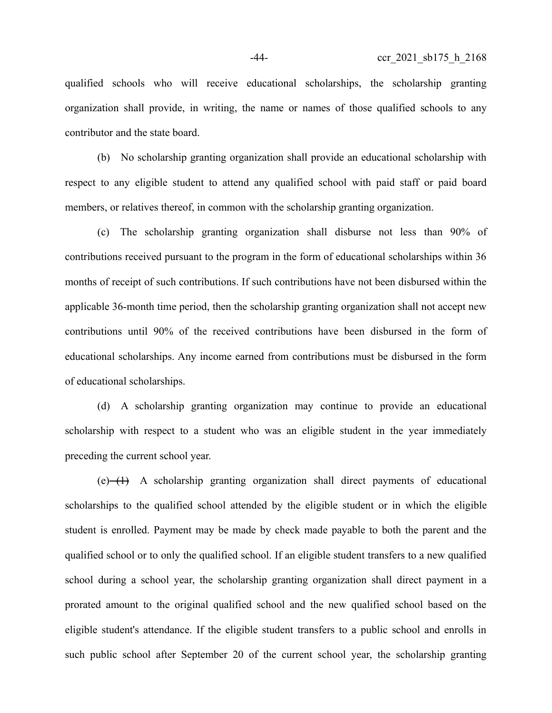qualified schools who will receive educational scholarships, the scholarship granting organization shall provide, in writing, the name or names of those qualified schools to any contributor and the state board.

(b) No scholarship granting organization shall provide an educational scholarship with respect to any eligible student to attend any qualified school with paid staff or paid board members, or relatives thereof, in common with the scholarship granting organization.

(c) The scholarship granting organization shall disburse not less than 90% of contributions received pursuant to the program in the form of educational scholarships within 36 months of receipt of such contributions. If such contributions have not been disbursed within the applicable 36-month time period, then the scholarship granting organization shall not accept new contributions until 90% of the received contributions have been disbursed in the form of educational scholarships. Any income earned from contributions must be disbursed in the form of educational scholarships.

(d) A scholarship granting organization may continue to provide an educational scholarship with respect to a student who was an eligible student in the year immediately preceding the current school year.

 $(e)$  (e)  $(1)$  A scholarship granting organization shall direct payments of educational scholarships to the qualified school attended by the eligible student or in which the eligible student is enrolled. Payment may be made by check made payable to both the parent and the qualified school or to only the qualified school. If an eligible student transfers to a new qualified school during a school year, the scholarship granting organization shall direct payment in a prorated amount to the original qualified school and the new qualified school based on the eligible student's attendance. If the eligible student transfers to a public school and enrolls in such public school after September 20 of the current school year, the scholarship granting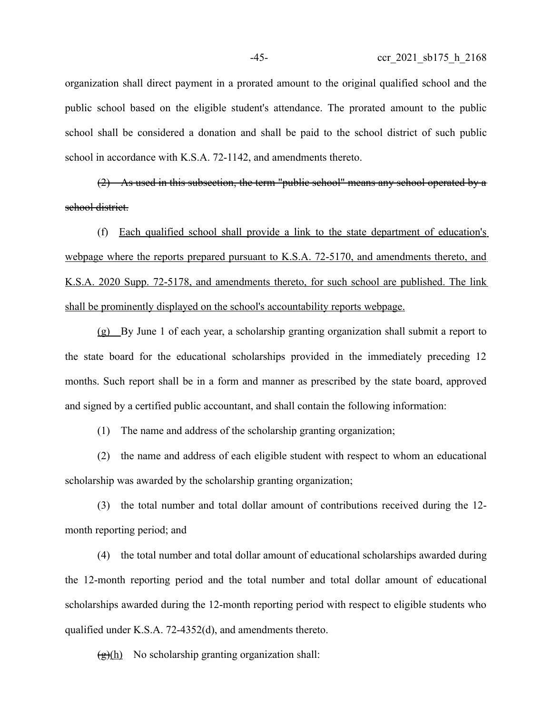organization shall direct payment in a prorated amount to the original qualified school and the public school based on the eligible student's attendance. The prorated amount to the public school shall be considered a donation and shall be paid to the school district of such public school in accordance with K.S.A. 72-1142, and amendments thereto.

(2) As used in this subsection, the term "public school" means any school operated by a school district.

(f) Each qualified school shall provide a link to the state department of education's webpage where the reports prepared pursuant to K.S.A. 72-5170, and amendments thereto, and K.S.A. 2020 Supp. 72-5178, and amendments thereto, for such school are published. The link shall be prominently displayed on the school's accountability reports webpage.

(g) By June 1 of each year, a scholarship granting organization shall submit a report to the state board for the educational scholarships provided in the immediately preceding 12 months. Such report shall be in a form and manner as prescribed by the state board, approved and signed by a certified public accountant, and shall contain the following information:

(1) The name and address of the scholarship granting organization;

(2) the name and address of each eligible student with respect to whom an educational scholarship was awarded by the scholarship granting organization;

(3) the total number and total dollar amount of contributions received during the 12 month reporting period; and

(4) the total number and total dollar amount of educational scholarships awarded during the 12-month reporting period and the total number and total dollar amount of educational scholarships awarded during the 12-month reporting period with respect to eligible students who qualified under K.S.A. 72-4352(d), and amendments thereto.

 $\left(\frac{g}{h}\right)$  No scholarship granting organization shall: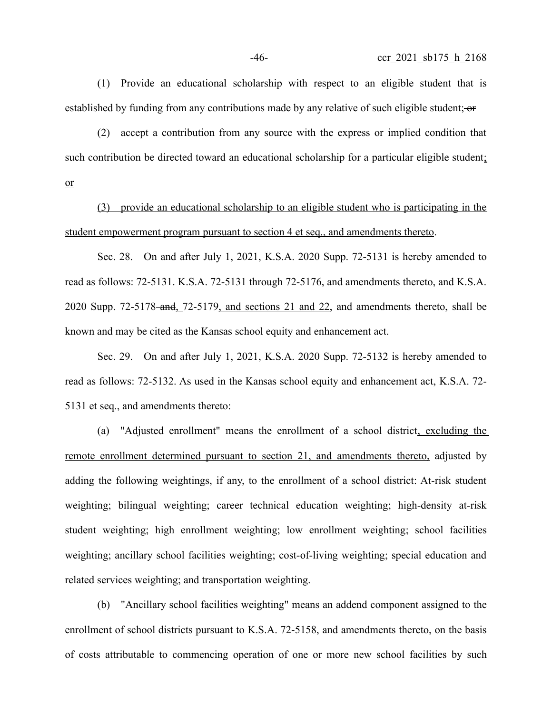(1) Provide an educational scholarship with respect to an eligible student that is established by funding from any contributions made by any relative of such eligible student;  $\sigma$ 

(2) accept a contribution from any source with the express or implied condition that such contribution be directed toward an educational scholarship for a particular eligible student; or

(3) provide an educational scholarship to an eligible student who is participating in the student empowerment program pursuant to section 4 et seq., and amendments thereto.

Sec. 28. On and after July 1, 2021, K.S.A. 2020 Supp. 72-5131 is hereby amended to read as follows: 72-5131. K.S.A. 72-5131 through 72-5176, and amendments thereto, and K.S.A. 2020 Supp. 72-5178-and, 72-5179, and sections 21 and 22, and amendments thereto, shall be known and may be cited as the Kansas school equity and enhancement act.

Sec. 29. On and after July 1, 2021, K.S.A. 2020 Supp. 72-5132 is hereby amended to read as follows: 72-5132. As used in the Kansas school equity and enhancement act, K.S.A. 72- 5131 et seq., and amendments thereto:

(a) "Adjusted enrollment" means the enrollment of a school district, excluding the remote enrollment determined pursuant to section 21, and amendments thereto, adjusted by adding the following weightings, if any, to the enrollment of a school district: At-risk student weighting; bilingual weighting; career technical education weighting; high-density at-risk student weighting; high enrollment weighting; low enrollment weighting; school facilities weighting; ancillary school facilities weighting; cost-of-living weighting; special education and related services weighting; and transportation weighting.

(b) "Ancillary school facilities weighting" means an addend component assigned to the enrollment of school districts pursuant to K.S.A. 72-5158, and amendments thereto, on the basis of costs attributable to commencing operation of one or more new school facilities by such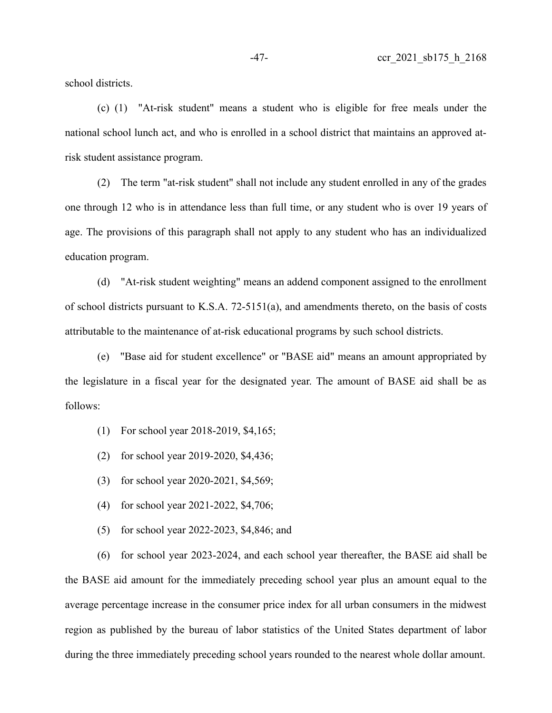school districts.

(c) (1) "At-risk student" means a student who is eligible for free meals under the national school lunch act, and who is enrolled in a school district that maintains an approved atrisk student assistance program.

(2) The term "at-risk student" shall not include any student enrolled in any of the grades one through 12 who is in attendance less than full time, or any student who is over 19 years of age. The provisions of this paragraph shall not apply to any student who has an individualized education program.

(d) "At-risk student weighting" means an addend component assigned to the enrollment of school districts pursuant to K.S.A. 72-5151(a), and amendments thereto, on the basis of costs attributable to the maintenance of at-risk educational programs by such school districts.

(e) "Base aid for student excellence" or "BASE aid" means an amount appropriated by the legislature in a fiscal year for the designated year. The amount of BASE aid shall be as follows:

- (1) For school year 2018-2019, \$4,165;
- (2) for school year 2019-2020, \$4,436;
- (3) for school year 2020-2021, \$4,569;
- (4) for school year 2021-2022, \$4,706;
- (5) for school year 2022-2023, \$4,846; and

(6) for school year 2023-2024, and each school year thereafter, the BASE aid shall be the BASE aid amount for the immediately preceding school year plus an amount equal to the average percentage increase in the consumer price index for all urban consumers in the midwest region as published by the bureau of labor statistics of the United States department of labor during the three immediately preceding school years rounded to the nearest whole dollar amount.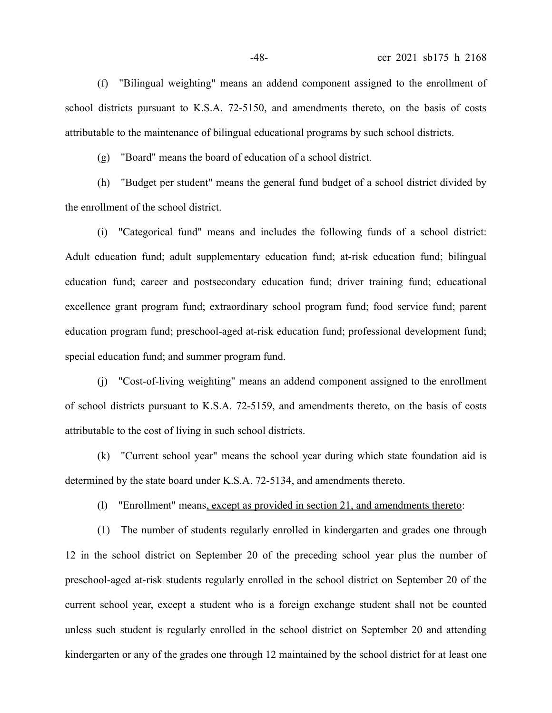(f) "Bilingual weighting" means an addend component assigned to the enrollment of school districts pursuant to K.S.A. 72-5150, and amendments thereto, on the basis of costs attributable to the maintenance of bilingual educational programs by such school districts.

(g) "Board" means the board of education of a school district.

(h) "Budget per student" means the general fund budget of a school district divided by the enrollment of the school district.

(i) "Categorical fund" means and includes the following funds of a school district: Adult education fund; adult supplementary education fund; at-risk education fund; bilingual education fund; career and postsecondary education fund; driver training fund; educational excellence grant program fund; extraordinary school program fund; food service fund; parent education program fund; preschool-aged at-risk education fund; professional development fund; special education fund; and summer program fund.

(j) "Cost-of-living weighting" means an addend component assigned to the enrollment of school districts pursuant to K.S.A. 72-5159, and amendments thereto, on the basis of costs attributable to the cost of living in such school districts.

(k) "Current school year" means the school year during which state foundation aid is determined by the state board under K.S.A. 72-5134, and amendments thereto.

(l) "Enrollment" means, except as provided in section 21, and amendments thereto:

(1) The number of students regularly enrolled in kindergarten and grades one through 12 in the school district on September 20 of the preceding school year plus the number of preschool-aged at-risk students regularly enrolled in the school district on September 20 of the current school year, except a student who is a foreign exchange student shall not be counted unless such student is regularly enrolled in the school district on September 20 and attending kindergarten or any of the grades one through 12 maintained by the school district for at least one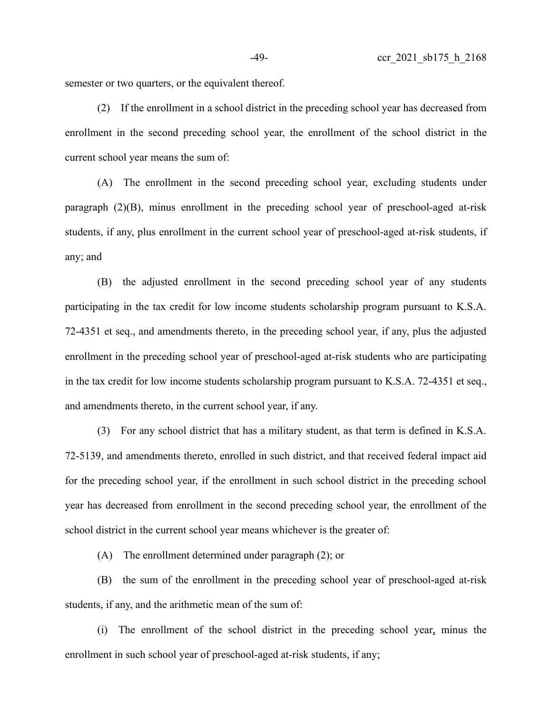semester or two quarters, or the equivalent thereof.

(2) If the enrollment in a school district in the preceding school year has decreased from enrollment in the second preceding school year, the enrollment of the school district in the current school year means the sum of:

(A) The enrollment in the second preceding school year, excluding students under paragraph (2)(B), minus enrollment in the preceding school year of preschool-aged at-risk students, if any, plus enrollment in the current school year of preschool-aged at-risk students, if any; and

(B) the adjusted enrollment in the second preceding school year of any students participating in the tax credit for low income students scholarship program pursuant to K.S.A. 72-4351 et seq., and amendments thereto, in the preceding school year, if any, plus the adjusted enrollment in the preceding school year of preschool-aged at-risk students who are participating in the tax credit for low income students scholarship program pursuant to K.S.A. 72-4351 et seq., and amendments thereto, in the current school year, if any.

(3) For any school district that has a military student, as that term is defined in K.S.A. 72-5139, and amendments thereto, enrolled in such district, and that received federal impact aid for the preceding school year, if the enrollment in such school district in the preceding school year has decreased from enrollment in the second preceding school year, the enrollment of the school district in the current school year means whichever is the greater of:

(A) The enrollment determined under paragraph (2); or

(B) the sum of the enrollment in the preceding school year of preschool-aged at-risk students, if any, and the arithmetic mean of the sum of:

(i) The enrollment of the school district in the preceding school year, minus the enrollment in such school year of preschool-aged at-risk students, if any;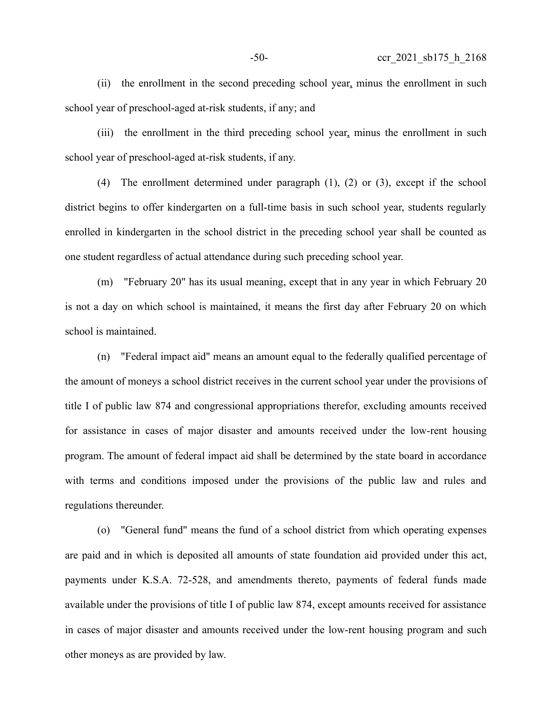(ii) the enrollment in the second preceding school year, minus the enrollment in such school year of preschool-aged at-risk students, if any; and

(iii) the enrollment in the third preceding school year, minus the enrollment in such school year of preschool-aged at-risk students, if any.

(4) The enrollment determined under paragraph (1), (2) or (3), except if the school district begins to offer kindergarten on a full-time basis in such school year, students regularly enrolled in kindergarten in the school district in the preceding school year shall be counted as one student regardless of actual attendance during such preceding school year.

(m) "February 20" has its usual meaning, except that in any year in which February 20 is not a day on which school is maintained, it means the first day after February 20 on which school is maintained.

(n) "Federal impact aid" means an amount equal to the federally qualified percentage of the amount of moneys a school district receives in the current school year under the provisions of title I of public law 874 and congressional appropriations therefor, excluding amounts received for assistance in cases of major disaster and amounts received under the low-rent housing program. The amount of federal impact aid shall be determined by the state board in accordance with terms and conditions imposed under the provisions of the public law and rules and regulations thereunder.

(o) "General fund" means the fund of a school district from which operating expenses are paid and in which is deposited all amounts of state foundation aid provided under this act, payments under K.S.A. 72-528, and amendments thereto, payments of federal funds made available under the provisions of title I of public law 874, except amounts received for assistance in cases of major disaster and amounts received under the low-rent housing program and such other moneys as are provided by law.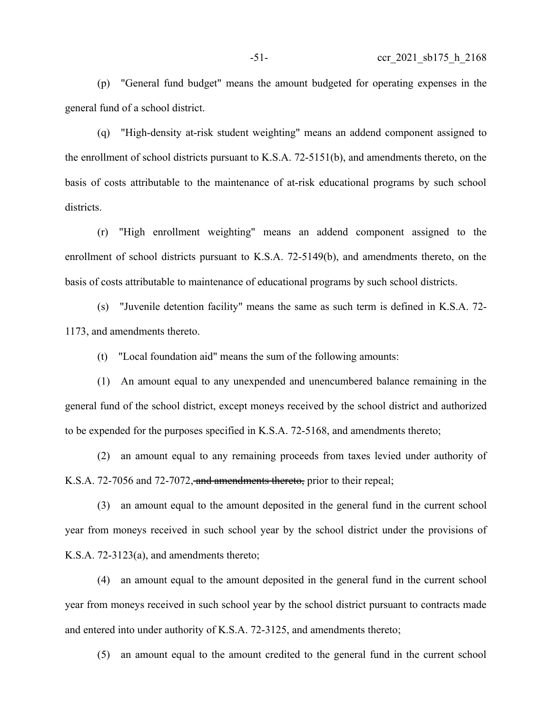(p) "General fund budget" means the amount budgeted for operating expenses in the general fund of a school district.

(q) "High-density at-risk student weighting" means an addend component assigned to the enrollment of school districts pursuant to K.S.A. 72-5151(b), and amendments thereto, on the basis of costs attributable to the maintenance of at-risk educational programs by such school districts.

(r) "High enrollment weighting" means an addend component assigned to the enrollment of school districts pursuant to K.S.A. 72-5149(b), and amendments thereto, on the basis of costs attributable to maintenance of educational programs by such school districts.

(s) "Juvenile detention facility" means the same as such term is defined in K.S.A. 72- 1173, and amendments thereto.

(t) "Local foundation aid" means the sum of the following amounts:

(1) An amount equal to any unexpended and unencumbered balance remaining in the general fund of the school district, except moneys received by the school district and authorized to be expended for the purposes specified in K.S.A. 72-5168, and amendments thereto;

(2) an amount equal to any remaining proceeds from taxes levied under authority of K.S.A. 72-7056 and 72-7072, and amendments thereto, prior to their repeal;

(3) an amount equal to the amount deposited in the general fund in the current school year from moneys received in such school year by the school district under the provisions of K.S.A. 72-3123(a), and amendments thereto;

(4) an amount equal to the amount deposited in the general fund in the current school year from moneys received in such school year by the school district pursuant to contracts made and entered into under authority of K.S.A. 72-3125, and amendments thereto;

(5) an amount equal to the amount credited to the general fund in the current school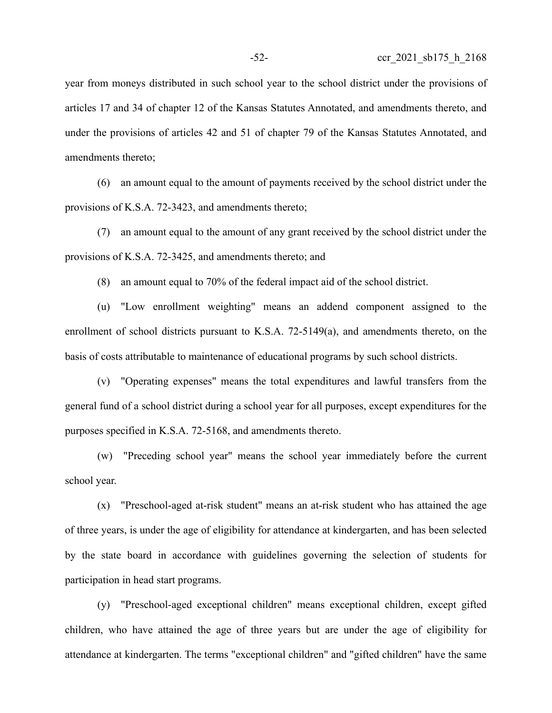year from moneys distributed in such school year to the school district under the provisions of articles 17 and 34 of chapter 12 of the Kansas Statutes Annotated, and amendments thereto, and under the provisions of articles 42 and 51 of chapter 79 of the Kansas Statutes Annotated, and amendments thereto;

(6) an amount equal to the amount of payments received by the school district under the provisions of K.S.A. 72-3423, and amendments thereto;

(7) an amount equal to the amount of any grant received by the school district under the provisions of K.S.A. 72-3425, and amendments thereto; and

(8) an amount equal to 70% of the federal impact aid of the school district.

(u) "Low enrollment weighting" means an addend component assigned to the enrollment of school districts pursuant to K.S.A. 72-5149(a), and amendments thereto, on the basis of costs attributable to maintenance of educational programs by such school districts.

(v) "Operating expenses" means the total expenditures and lawful transfers from the general fund of a school district during a school year for all purposes, except expenditures for the purposes specified in K.S.A. 72-5168, and amendments thereto.

(w) "Preceding school year" means the school year immediately before the current school year.

(x) "Preschool-aged at-risk student" means an at-risk student who has attained the age of three years, is under the age of eligibility for attendance at kindergarten, and has been selected by the state board in accordance with guidelines governing the selection of students for participation in head start programs.

(y) "Preschool-aged exceptional children" means exceptional children, except gifted children, who have attained the age of three years but are under the age of eligibility for attendance at kindergarten. The terms "exceptional children" and "gifted children" have the same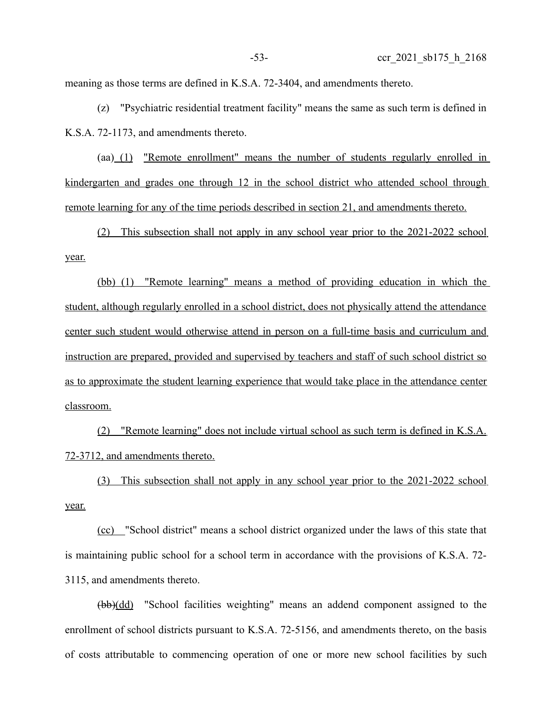meaning as those terms are defined in K.S.A. 72-3404, and amendments thereto.

(z) "Psychiatric residential treatment facility" means the same as such term is defined in K.S.A. 72-1173, and amendments thereto.

(aa) (1) <u>"Remote enrollment" means the number of students regularly enrolled in</u> kindergarten and grades one through 12 in the school district who attended school through remote learning for any of the time periods described in section 21, and amendments thereto.

(2) This subsection shall not apply in any school year prior to the 2021-2022 school year.

(bb) (1) "Remote learning" means a method of providing education in which the student, although regularly enrolled in a school district, does not physically attend the attendance center such student would otherwise attend in person on a full-time basis and curriculum and instruction are prepared, provided and supervised by teachers and staff of such school district so as to approximate the student learning experience that would take place in the attendance center classroom.

(2) "Remote learning" does not include virtual school as such term is defined in K.S.A. 72-3712, and amendments thereto.

(3) This subsection shall not apply in any school year prior to the 2021-2022 school year.

(cc) "School district" means a school district organized under the laws of this state that is maintaining public school for a school term in accordance with the provisions of K.S.A. 72- 3115, and amendments thereto.

(bb)(dd) "School facilities weighting" means an addend component assigned to the enrollment of school districts pursuant to K.S.A. 72-5156, and amendments thereto, on the basis of costs attributable to commencing operation of one or more new school facilities by such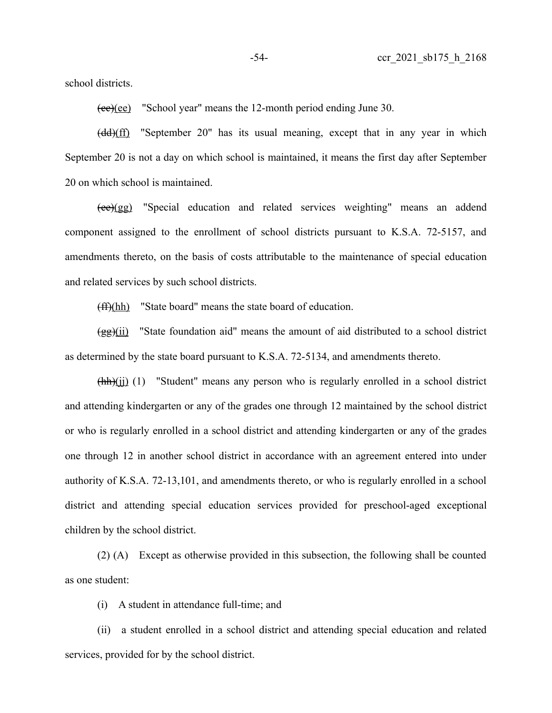school districts.

 $(ee)(ee)$  "School year" means the 12-month period ending June 30.

(dd)(ff) "September 20" has its usual meaning, except that in any year in which September 20 is not a day on which school is maintained, it means the first day after September 20 on which school is maintained.

(ee)(gg) "Special education and related services weighting" means an addend component assigned to the enrollment of school districts pursuant to K.S.A. 72-5157, and amendments thereto, on the basis of costs attributable to the maintenance of special education and related services by such school districts.

(ff)(hh) "State board" means the state board of education.

 $(gg)(ii)$  "State foundation aid" means the amount of aid distributed to a school district as determined by the state board pursuant to K.S.A. 72-5134, and amendments thereto.

(hh)(jj) (1) "Student" means any person who is regularly enrolled in a school district and attending kindergarten or any of the grades one through 12 maintained by the school district or who is regularly enrolled in a school district and attending kindergarten or any of the grades one through 12 in another school district in accordance with an agreement entered into under authority of K.S.A. 72-13,101, and amendments thereto, or who is regularly enrolled in a school district and attending special education services provided for preschool-aged exceptional children by the school district.

(2) (A) Except as otherwise provided in this subsection, the following shall be counted as one student:

(i) A student in attendance full-time; and

(ii) a student enrolled in a school district and attending special education and related services, provided for by the school district.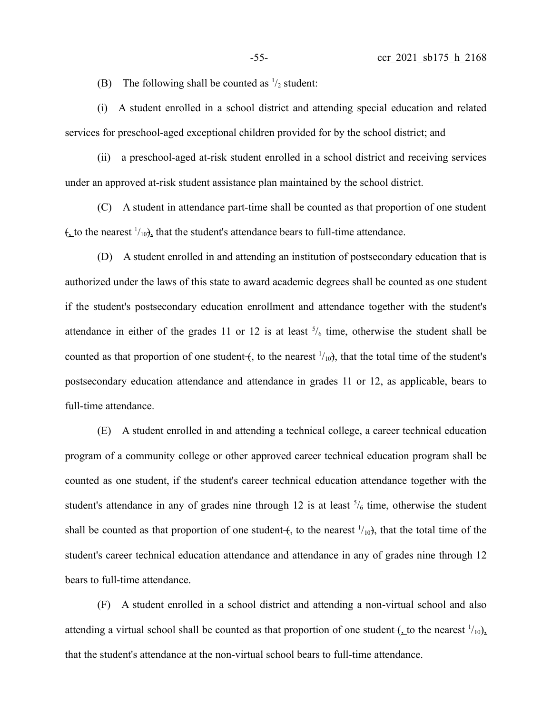(B) The following shall be counted as  $\frac{1}{2}$  student:

(i) A student enrolled in a school district and attending special education and related services for preschool-aged exceptional children provided for by the school district; and

(ii) a preschool-aged at-risk student enrolled in a school district and receiving services under an approved at-risk student assistance plan maintained by the school district.

(C) A student in attendance part-time shall be counted as that proportion of one student  $f_{\text{L}}$  to the nearest  $\frac{1}{10}$ , that the student's attendance bears to full-time attendance.

(D) A student enrolled in and attending an institution of postsecondary education that is authorized under the laws of this state to award academic degrees shall be counted as one student if the student's postsecondary education enrollment and attendance together with the student's attendance in either of the grades 11 or 12 is at least  $\frac{5}{6}$  time, otherwise the student shall be counted as that proportion of one student  $\leftarrow$  to the nearest  $\frac{1}{10}$ , that the total time of the student's postsecondary education attendance and attendance in grades 11 or 12, as applicable, bears to full-time attendance.

(E) A student enrolled in and attending a technical college, a career technical education program of a community college or other approved career technical education program shall be counted as one student, if the student's career technical education attendance together with the student's attendance in any of grades nine through 12 is at least  $\frac{5}{6}$  time, otherwise the student shall be counted as that proportion of one student  $\leftarrow$  to the nearest  $\frac{1}{10}$ , that the total time of the student's career technical education attendance and attendance in any of grades nine through 12 bears to full-time attendance.

(F) A student enrolled in a school district and attending a non-virtual school and also attending a virtual school shall be counted as that proportion of one student  $\left( \frac{1}{\epsilon} \right)$  to the nearest  $\frac{1}{10}$ , that the student's attendance at the non-virtual school bears to full-time attendance.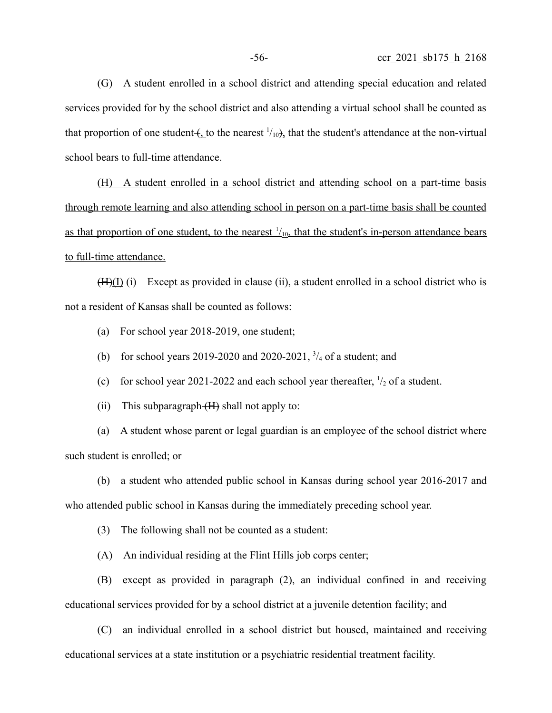-56- ccr 2021 sb175 h 2168

(G) A student enrolled in a school district and attending special education and related services provided for by the school district and also attending a virtual school shall be counted as that proportion of one student  $\leftarrow$  to the nearest  $\frac{1}{10}$ , that the student's attendance at the non-virtual school bears to full-time attendance.

(H) A student enrolled in a school district and attending school on a part-time basis through remote learning and also attending school in person on a part-time basis shall be counted as that proportion of one student, to the nearest  $\frac{1}{10}$ , that the student's in-person attendance bears to full-time attendance.

 $(H)(I)(i)$  Except as provided in clause (ii), a student enrolled in a school district who is not a resident of Kansas shall be counted as follows:

(a) For school year 2018-2019, one student;

(b) for school years 2019-2020 and 2020-2021,  $\frac{3}{4}$  of a student; and

(c) for school year 2021-2022 and each school year thereafter,  $\frac{1}{2}$  of a student.

(ii) This subparagraph  $(H)$  shall not apply to:

(a) A student whose parent or legal guardian is an employee of the school district where such student is enrolled; or

(b) a student who attended public school in Kansas during school year 2016-2017 and who attended public school in Kansas during the immediately preceding school year.

(3) The following shall not be counted as a student:

(A) An individual residing at the Flint Hills job corps center;

(B) except as provided in paragraph (2), an individual confined in and receiving educational services provided for by a school district at a juvenile detention facility; and

(C) an individual enrolled in a school district but housed, maintained and receiving educational services at a state institution or a psychiatric residential treatment facility.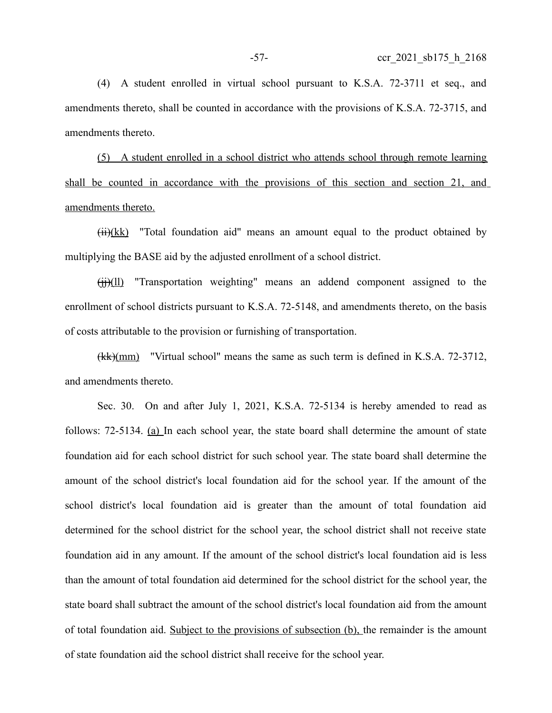(4) A student enrolled in virtual school pursuant to K.S.A. 72-3711 et seq., and amendments thereto, shall be counted in accordance with the provisions of K.S.A. 72-3715, and amendments thereto.

(5) A student enrolled in a school district who attends school through remote learning shall be counted in accordance with the provisions of this section and section 21, and amendments thereto.

 $(ii)(kk)$  "Total foundation aid" means an amount equal to the product obtained by multiplying the BASE aid by the adjusted enrollment of a school district.

(ii)(ll) "Transportation weighting" means an addend component assigned to the enrollment of school districts pursuant to K.S.A. 72-5148, and amendments thereto, on the basis of costs attributable to the provision or furnishing of transportation.

(kk)(mm) "Virtual school" means the same as such term is defined in K.S.A. 72-3712, and amendments thereto.

Sec. 30. On and after July 1, 2021, K.S.A. 72-5134 is hereby amended to read as follows: 72-5134. (a) In each school year, the state board shall determine the amount of state foundation aid for each school district for such school year. The state board shall determine the amount of the school district's local foundation aid for the school year. If the amount of the school district's local foundation aid is greater than the amount of total foundation aid determined for the school district for the school year, the school district shall not receive state foundation aid in any amount. If the amount of the school district's local foundation aid is less than the amount of total foundation aid determined for the school district for the school year, the state board shall subtract the amount of the school district's local foundation aid from the amount of total foundation aid. Subject to the provisions of subsection (b), the remainder is the amount of state foundation aid the school district shall receive for the school year.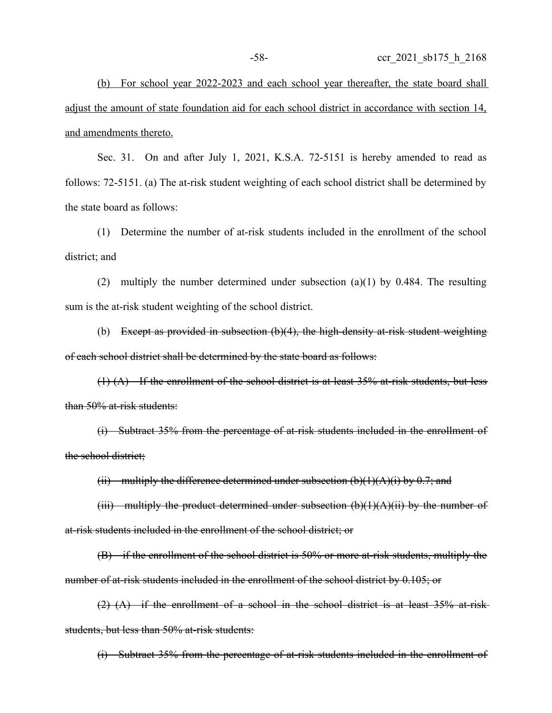(b) For school year 2022-2023 and each school year thereafter, the state board shall adjust the amount of state foundation aid for each school district in accordance with section 14, and amendments thereto.

Sec. 31. On and after July 1, 2021, K.S.A. 72-5151 is hereby amended to read as follows: 72-5151. (a) The at-risk student weighting of each school district shall be determined by the state board as follows:

(1) Determine the number of at-risk students included in the enrollment of the school district; and

(2) multiply the number determined under subsection (a)(1) by 0.484. The resulting sum is the at-risk student weighting of the school district.

(b) Except as provided in subsection (b)(4), the high-density at-risk student weighting of each school district shall be determined by the state board as follows:

(1) (A) If the enrollment of the school district is at least 35% at-risk students, but less than 50% at-risk students:

(i) Subtract 35% from the percentage of at-risk students included in the enrollment of the school district;

(ii) multiply the difference determined under subsection  $(b)(1)(A)(i)$  by 0.7; and

 $(iii)$  multiply the product determined under subsection  $(b)(1)(A)(ii)$  by the number of at-risk students included in the enrollment of the school district; or

(B) if the enrollment of the school district is 50% or more at-risk students, multiply the number of at-risk students included in the enrollment of the school district by 0.105; or

(2) (A) if the enrollment of a school in the school district is at least 35% at-risk students, but less than 50% at-risk students:

(i) Subtract 35% from the percentage of at-risk students included in the enrollment of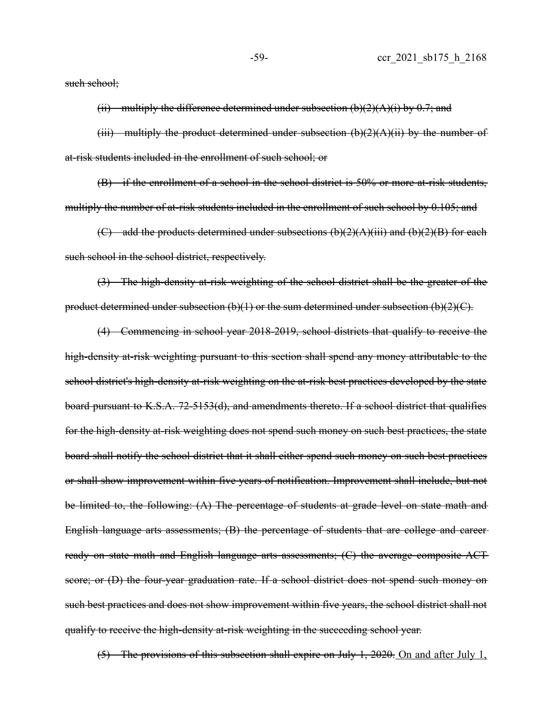such school;

(ii) multiply the difference determined under subsection  $(b)(2)(A)(i)$  by 0.7; and

(iii) multiply the product determined under subsection  $(b)(2)(A)(ii)$  by the number of at-risk students included in the enrollment of such school; or

(B) if the enrollment of a school in the school district is 50% or more at-risk students, multiply the number of at-risk students included in the enrollment of such school by 0.105; and

(C) add the products determined under subsections  $(b)(2)(A)(iii)$  and  $(b)(2)(B)$  for each such school in the school district, respectively.

(3) The high-density at-risk weighting of the school district shall be the greater of the product determined under subsection (b)(1) or the sum determined under subsection (b)(2)(C).

(4) Commencing in school year 2018-2019, school districts that qualify to receive the high-density at-risk weighting pursuant to this section shall spend any money attributable to the school district's high-density at-risk weighting on the at-risk best practices developed by the state board pursuant to K.S.A. 72-5153(d), and amendments thereto. If a school district that qualifies for the high-density at-risk weighting does not spend such money on such best practices, the state board shall notify the school district that it shall either spend such money on such best practices or shall show improvement within five years of notification. Improvement shall include, but not be limited to, the following: (A) The percentage of students at grade level on state math and English language arts assessments; (B) the percentage of students that are college and career ready on state math and English language arts assessments; (C) the average composite ACT score; or (D) the four-year graduation rate. If a school district does not spend such money on such best practices and does not show improvement within five years, the school district shall not qualify to receive the high-density at-risk weighting in the succeeding school year.

(5) The provisions of this subsection shall expire on July 1, 2020. On and after July 1,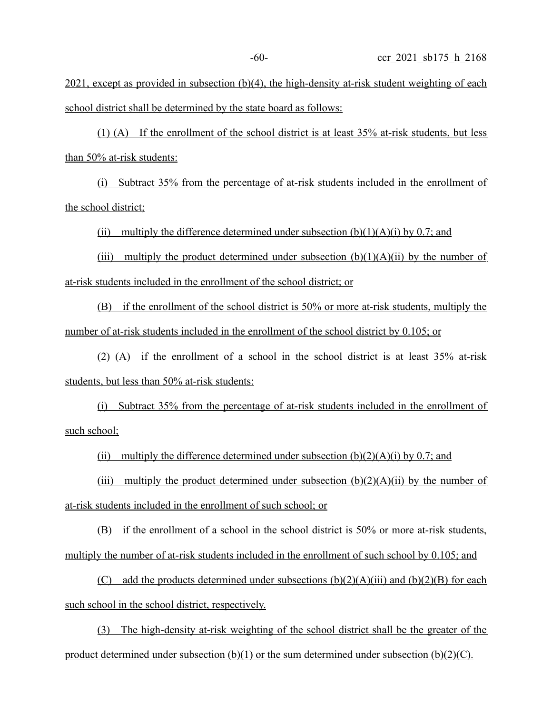$2021$ , except as provided in subsection (b)(4), the high-density at-risk student weighting of each school district shall be determined by the state board as follows:

(1) (A) If the enrollment of the school district is at least 35% at-risk students, but less than 50% at-risk students:

(i) Subtract 35% from the percentage of at-risk students included in the enrollment of the school district;

(ii) multiply the difference determined under subsection  $(b)(1)(A)(i)$  by 0.7; and

(iii) multiply the product determined under subsection  $(b)(1)(A)(ii)$  by the number of at-risk students included in the enrollment of the school district; or

(B) if the enrollment of the school district is 50% or more at-risk students, multiply the number of at-risk students included in the enrollment of the school district by 0.105; or

(2) (A) if the enrollment of a school in the school district is at least 35% at-risk students, but less than 50% at-risk students:

(i) Subtract 35% from the percentage of at-risk students included in the enrollment of such school;

(ii) multiply the difference determined under subsection  $(b)(2)(A)(i)$  by 0.7; and

(iii) multiply the product determined under subsection  $(b)(2)(A)(ii)$  by the number of at-risk students included in the enrollment of such school; or

(B) if the enrollment of a school in the school district is 50% or more at-risk students, multiply the number of at-risk students included in the enrollment of such school by 0.105; and

(C) add the products determined under subsections  $(b)(2)(A)(iii)$  and  $(b)(2)(B)$  for each such school in the school district, respectively.

(3) The high-density at-risk weighting of the school district shall be the greater of the product determined under subsection (b)(1) or the sum determined under subsection (b)(2)(C).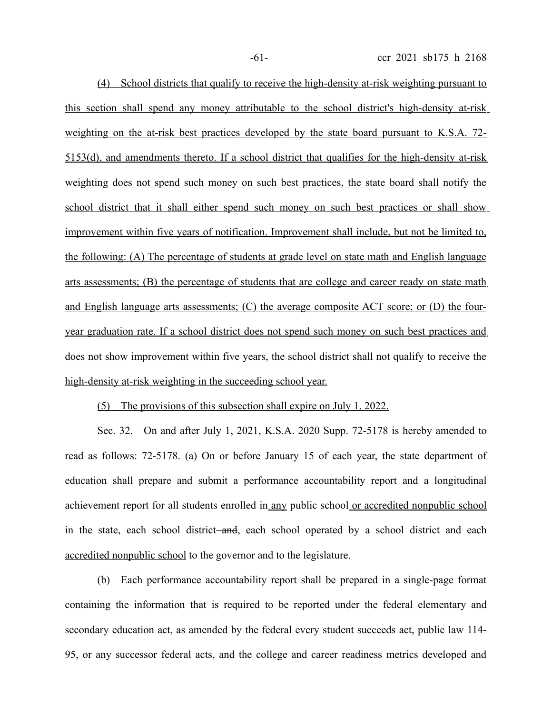(4) School districts that qualify to receive the high-density at-risk weighting pursuant to this section shall spend any money attributable to the school district's high-density at-risk weighting on the at-risk best practices developed by the state board pursuant to K.S.A. 72- 5153(d), and amendments thereto. If a school district that qualifies for the high-density at-risk weighting does not spend such money on such best practices, the state board shall notify the school district that it shall either spend such money on such best practices or shall show improvement within five years of notification. Improvement shall include, but not be limited to, the following: (A) The percentage of students at grade level on state math and English language arts assessments; (B) the percentage of students that are college and career ready on state math and English language arts assessments; (C) the average composite ACT score; or (D) the fouryear graduation rate. If a school district does not spend such money on such best practices and does not show improvement within five years, the school district shall not qualify to receive the high-density at-risk weighting in the succeeding school year.

(5) The provisions of this subsection shall expire on July 1, 2022.

Sec. 32. On and after July 1, 2021, K.S.A. 2020 Supp. 72-5178 is hereby amended to read as follows: 72-5178. (a) On or before January 15 of each year, the state department of education shall prepare and submit a performance accountability report and a longitudinal achievement report for all students enrolled in any public school or accredited nonpublic school in the state, each school district—and, each school operated by a school district and each accredited nonpublic school to the governor and to the legislature.

(b) Each performance accountability report shall be prepared in a single-page format containing the information that is required to be reported under the federal elementary and secondary education act, as amended by the federal every student succeeds act, public law 114- 95, or any successor federal acts, and the college and career readiness metrics developed and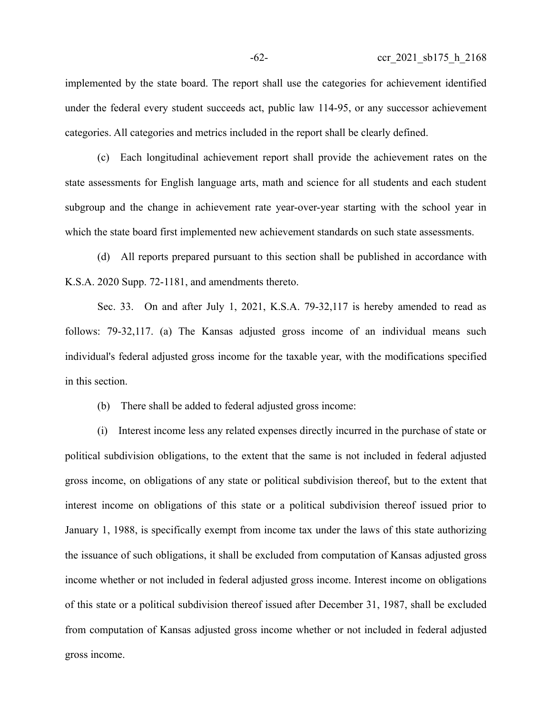implemented by the state board. The report shall use the categories for achievement identified under the federal every student succeeds act, public law 114-95, or any successor achievement categories. All categories and metrics included in the report shall be clearly defined.

(c) Each longitudinal achievement report shall provide the achievement rates on the state assessments for English language arts, math and science for all students and each student subgroup and the change in achievement rate year-over-year starting with the school year in which the state board first implemented new achievement standards on such state assessments.

(d) All reports prepared pursuant to this section shall be published in accordance with K.S.A. 2020 Supp. 72-1181, and amendments thereto.

Sec. 33. On and after July 1, 2021, K.S.A. 79-32,117 is hereby amended to read as follows: 79-32,117. (a) The Kansas adjusted gross income of an individual means such individual's federal adjusted gross income for the taxable year, with the modifications specified in this section.

(b) There shall be added to federal adjusted gross income:

(i) Interest income less any related expenses directly incurred in the purchase of state or political subdivision obligations, to the extent that the same is not included in federal adjusted gross income, on obligations of any state or political subdivision thereof, but to the extent that interest income on obligations of this state or a political subdivision thereof issued prior to January 1, 1988, is specifically exempt from income tax under the laws of this state authorizing the issuance of such obligations, it shall be excluded from computation of Kansas adjusted gross income whether or not included in federal adjusted gross income. Interest income on obligations of this state or a political subdivision thereof issued after December 31, 1987, shall be excluded from computation of Kansas adjusted gross income whether or not included in federal adjusted gross income.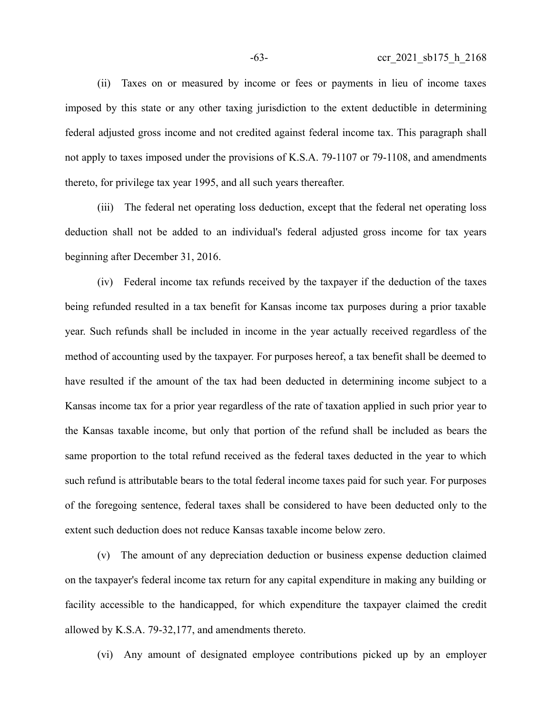(ii) Taxes on or measured by income or fees or payments in lieu of income taxes imposed by this state or any other taxing jurisdiction to the extent deductible in determining federal adjusted gross income and not credited against federal income tax. This paragraph shall not apply to taxes imposed under the provisions of K.S.A. 79-1107 or 79-1108, and amendments thereto, for privilege tax year 1995, and all such years thereafter.

(iii) The federal net operating loss deduction, except that the federal net operating loss deduction shall not be added to an individual's federal adjusted gross income for tax years beginning after December 31, 2016.

(iv) Federal income tax refunds received by the taxpayer if the deduction of the taxes being refunded resulted in a tax benefit for Kansas income tax purposes during a prior taxable year. Such refunds shall be included in income in the year actually received regardless of the method of accounting used by the taxpayer. For purposes hereof, a tax benefit shall be deemed to have resulted if the amount of the tax had been deducted in determining income subject to a Kansas income tax for a prior year regardless of the rate of taxation applied in such prior year to the Kansas taxable income, but only that portion of the refund shall be included as bears the same proportion to the total refund received as the federal taxes deducted in the year to which such refund is attributable bears to the total federal income taxes paid for such year. For purposes of the foregoing sentence, federal taxes shall be considered to have been deducted only to the extent such deduction does not reduce Kansas taxable income below zero.

(v) The amount of any depreciation deduction or business expense deduction claimed on the taxpayer's federal income tax return for any capital expenditure in making any building or facility accessible to the handicapped, for which expenditure the taxpayer claimed the credit allowed by K.S.A. 79-32,177, and amendments thereto.

(vi) Any amount of designated employee contributions picked up by an employer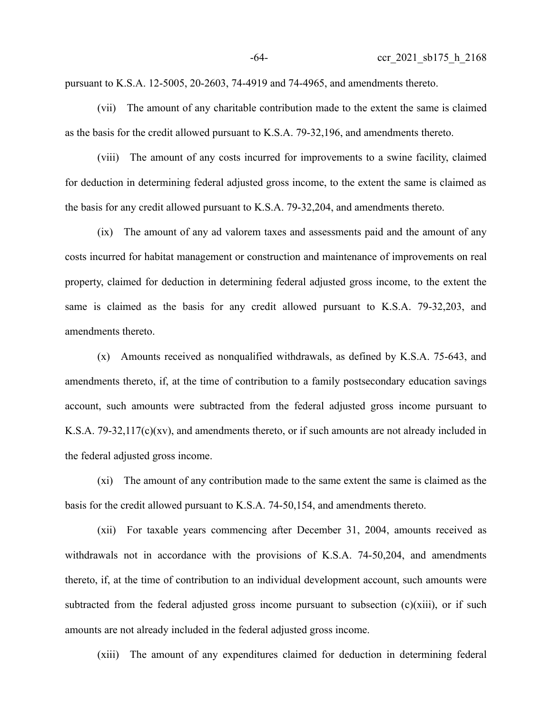pursuant to K.S.A. 12-5005, 20-2603, 74-4919 and 74-4965, and amendments thereto.

(vii) The amount of any charitable contribution made to the extent the same is claimed as the basis for the credit allowed pursuant to K.S.A. 79-32,196, and amendments thereto.

(viii) The amount of any costs incurred for improvements to a swine facility, claimed for deduction in determining federal adjusted gross income, to the extent the same is claimed as the basis for any credit allowed pursuant to K.S.A. 79-32,204, and amendments thereto.

(ix) The amount of any ad valorem taxes and assessments paid and the amount of any costs incurred for habitat management or construction and maintenance of improvements on real property, claimed for deduction in determining federal adjusted gross income, to the extent the same is claimed as the basis for any credit allowed pursuant to K.S.A. 79-32,203, and amendments thereto.

(x) Amounts received as nonqualified withdrawals, as defined by K.S.A. 75-643, and amendments thereto, if, at the time of contribution to a family postsecondary education savings account, such amounts were subtracted from the federal adjusted gross income pursuant to K.S.A. 79-32,117(c)(xv), and amendments thereto, or if such amounts are not already included in the federal adjusted gross income.

(xi) The amount of any contribution made to the same extent the same is claimed as the basis for the credit allowed pursuant to K.S.A. 74-50,154, and amendments thereto.

(xii) For taxable years commencing after December 31, 2004, amounts received as withdrawals not in accordance with the provisions of K.S.A. 74-50,204, and amendments thereto, if, at the time of contribution to an individual development account, such amounts were subtracted from the federal adjusted gross income pursuant to subsection (c)(xiii), or if such amounts are not already included in the federal adjusted gross income.

(xiii) The amount of any expenditures claimed for deduction in determining federal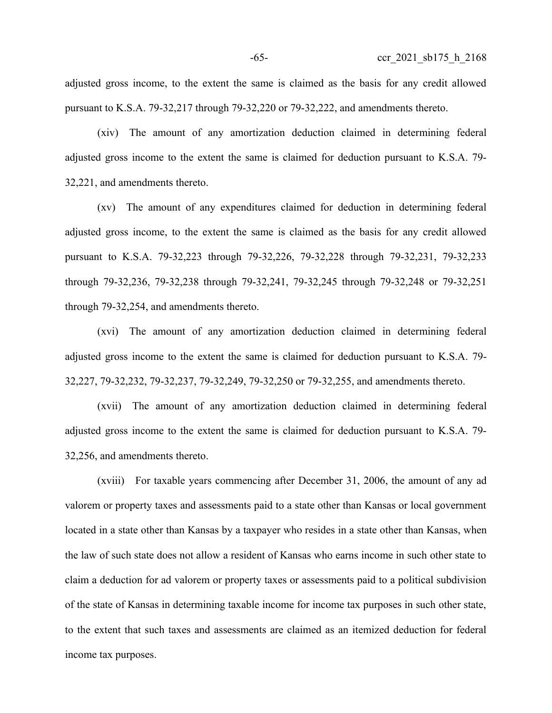adjusted gross income, to the extent the same is claimed as the basis for any credit allowed pursuant to K.S.A. 79-32,217 through 79-32,220 or 79-32,222, and amendments thereto.

(xiv) The amount of any amortization deduction claimed in determining federal adjusted gross income to the extent the same is claimed for deduction pursuant to K.S.A. 79- 32,221, and amendments thereto.

(xv) The amount of any expenditures claimed for deduction in determining federal adjusted gross income, to the extent the same is claimed as the basis for any credit allowed pursuant to K.S.A. 79-32,223 through 79-32,226, 79-32,228 through 79-32,231, 79-32,233 through 79-32,236, 79-32,238 through 79-32,241, 79-32,245 through 79-32,248 or 79-32,251 through 79-32,254, and amendments thereto.

(xvi) The amount of any amortization deduction claimed in determining federal adjusted gross income to the extent the same is claimed for deduction pursuant to K.S.A. 79- 32,227, 79-32,232, 79-32,237, 79-32,249, 79-32,250 or 79-32,255, and amendments thereto.

(xvii) The amount of any amortization deduction claimed in determining federal adjusted gross income to the extent the same is claimed for deduction pursuant to K.S.A. 79- 32,256, and amendments thereto.

(xviii) For taxable years commencing after December 31, 2006, the amount of any ad valorem or property taxes and assessments paid to a state other than Kansas or local government located in a state other than Kansas by a taxpayer who resides in a state other than Kansas, when the law of such state does not allow a resident of Kansas who earns income in such other state to claim a deduction for ad valorem or property taxes or assessments paid to a political subdivision of the state of Kansas in determining taxable income for income tax purposes in such other state, to the extent that such taxes and assessments are claimed as an itemized deduction for federal income tax purposes.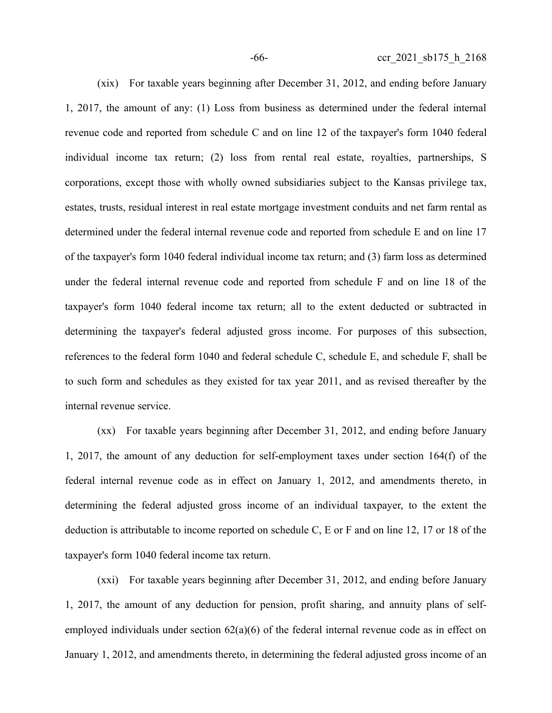(xix) For taxable years beginning after December 31, 2012, and ending before January 1, 2017, the amount of any: (1) Loss from business as determined under the federal internal revenue code and reported from schedule C and on line 12 of the taxpayer's form 1040 federal individual income tax return; (2) loss from rental real estate, royalties, partnerships, S corporations, except those with wholly owned subsidiaries subject to the Kansas privilege tax, estates, trusts, residual interest in real estate mortgage investment conduits and net farm rental as determined under the federal internal revenue code and reported from schedule E and on line 17 of the taxpayer's form 1040 federal individual income tax return; and (3) farm loss as determined under the federal internal revenue code and reported from schedule F and on line 18 of the taxpayer's form 1040 federal income tax return; all to the extent deducted or subtracted in determining the taxpayer's federal adjusted gross income. For purposes of this subsection, references to the federal form 1040 and federal schedule C, schedule E, and schedule F, shall be to such form and schedules as they existed for tax year 2011, and as revised thereafter by the internal revenue service.

(xx) For taxable years beginning after December 31, 2012, and ending before January 1, 2017, the amount of any deduction for self-employment taxes under section 164(f) of the federal internal revenue code as in effect on January 1, 2012, and amendments thereto, in determining the federal adjusted gross income of an individual taxpayer, to the extent the deduction is attributable to income reported on schedule C, E or F and on line 12, 17 or 18 of the taxpayer's form 1040 federal income tax return.

(xxi) For taxable years beginning after December 31, 2012, and ending before January 1, 2017, the amount of any deduction for pension, profit sharing, and annuity plans of selfemployed individuals under section 62(a)(6) of the federal internal revenue code as in effect on January 1, 2012, and amendments thereto, in determining the federal adjusted gross income of an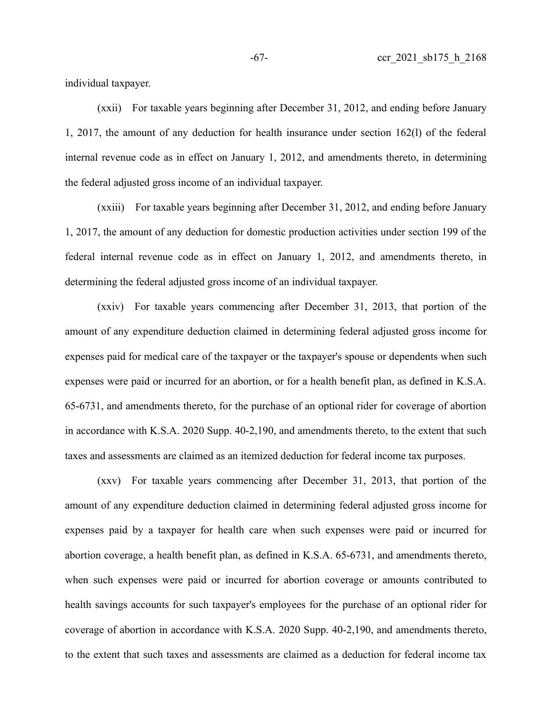individual taxpayer.

(xxii) For taxable years beginning after December 31, 2012, and ending before January 1, 2017, the amount of any deduction for health insurance under section 162(l) of the federal internal revenue code as in effect on January 1, 2012, and amendments thereto, in determining the federal adjusted gross income of an individual taxpayer.

(xxiii) For taxable years beginning after December 31, 2012, and ending before January 1, 2017, the amount of any deduction for domestic production activities under section 199 of the federal internal revenue code as in effect on January 1, 2012, and amendments thereto, in determining the federal adjusted gross income of an individual taxpayer.

(xxiv) For taxable years commencing after December 31, 2013, that portion of the amount of any expenditure deduction claimed in determining federal adjusted gross income for expenses paid for medical care of the taxpayer or the taxpayer's spouse or dependents when such expenses were paid or incurred for an abortion, or for a health benefit plan, as defined in K.S.A. 65-6731, and amendments thereto, for the purchase of an optional rider for coverage of abortion in accordance with K.S.A. 2020 Supp. 40-2,190, and amendments thereto, to the extent that such taxes and assessments are claimed as an itemized deduction for federal income tax purposes.

(xxv) For taxable years commencing after December 31, 2013, that portion of the amount of any expenditure deduction claimed in determining federal adjusted gross income for expenses paid by a taxpayer for health care when such expenses were paid or incurred for abortion coverage, a health benefit plan, as defined in K.S.A. 65-6731, and amendments thereto, when such expenses were paid or incurred for abortion coverage or amounts contributed to health savings accounts for such taxpayer's employees for the purchase of an optional rider for coverage of abortion in accordance with K.S.A. 2020 Supp. 40-2,190, and amendments thereto, to the extent that such taxes and assessments are claimed as a deduction for federal income tax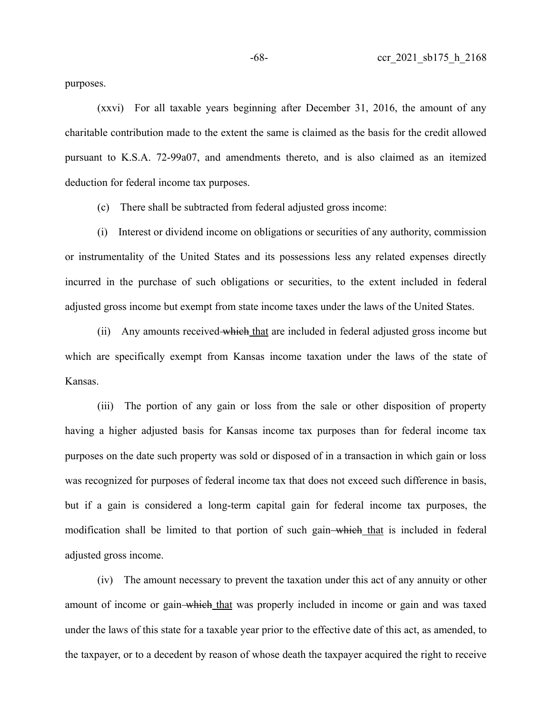purposes.

(xxvi) For all taxable years beginning after December 31, 2016, the amount of any charitable contribution made to the extent the same is claimed as the basis for the credit allowed pursuant to K.S.A. 72-99a07, and amendments thereto, and is also claimed as an itemized deduction for federal income tax purposes.

(c) There shall be subtracted from federal adjusted gross income:

(i) Interest or dividend income on obligations or securities of any authority, commission or instrumentality of the United States and its possessions less any related expenses directly incurred in the purchase of such obligations or securities, to the extent included in federal adjusted gross income but exempt from state income taxes under the laws of the United States.

(ii) Any amounts received which that are included in federal adjusted gross income but which are specifically exempt from Kansas income taxation under the laws of the state of Kansas.

(iii) The portion of any gain or loss from the sale or other disposition of property having a higher adjusted basis for Kansas income tax purposes than for federal income tax purposes on the date such property was sold or disposed of in a transaction in which gain or loss was recognized for purposes of federal income tax that does not exceed such difference in basis, but if a gain is considered a long-term capital gain for federal income tax purposes, the modification shall be limited to that portion of such gain-which that is included in federal adjusted gross income.

(iv) The amount necessary to prevent the taxation under this act of any annuity or other amount of income or gain-which that was properly included in income or gain and was taxed under the laws of this state for a taxable year prior to the effective date of this act, as amended, to the taxpayer, or to a decedent by reason of whose death the taxpayer acquired the right to receive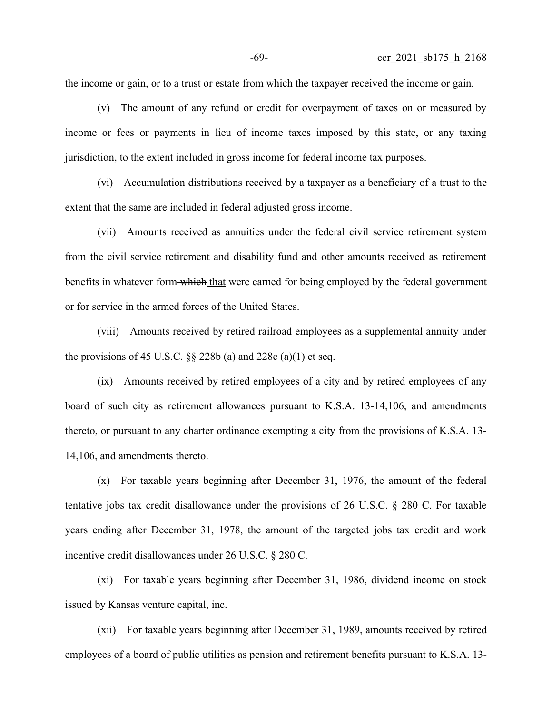the income or gain, or to a trust or estate from which the taxpayer received the income or gain.

(v) The amount of any refund or credit for overpayment of taxes on or measured by income or fees or payments in lieu of income taxes imposed by this state, or any taxing jurisdiction, to the extent included in gross income for federal income tax purposes.

(vi) Accumulation distributions received by a taxpayer as a beneficiary of a trust to the extent that the same are included in federal adjusted gross income.

(vii) Amounts received as annuities under the federal civil service retirement system from the civil service retirement and disability fund and other amounts received as retirement benefits in whatever form which that were earned for being employed by the federal government or for service in the armed forces of the United States.

(viii) Amounts received by retired railroad employees as a supplemental annuity under the provisions of 45 U.S.C.  $\S$  228b (a) and 228c (a)(1) et seq.

(ix) Amounts received by retired employees of a city and by retired employees of any board of such city as retirement allowances pursuant to K.S.A. 13-14,106, and amendments thereto, or pursuant to any charter ordinance exempting a city from the provisions of K.S.A. 13- 14,106, and amendments thereto.

(x) For taxable years beginning after December 31, 1976, the amount of the federal tentative jobs tax credit disallowance under the provisions of 26 U.S.C. § 280 C. For taxable years ending after December 31, 1978, the amount of the targeted jobs tax credit and work incentive credit disallowances under 26 U.S.C. § 280 C.

(xi) For taxable years beginning after December 31, 1986, dividend income on stock issued by Kansas venture capital, inc.

(xii) For taxable years beginning after December 31, 1989, amounts received by retired employees of a board of public utilities as pension and retirement benefits pursuant to K.S.A. 13-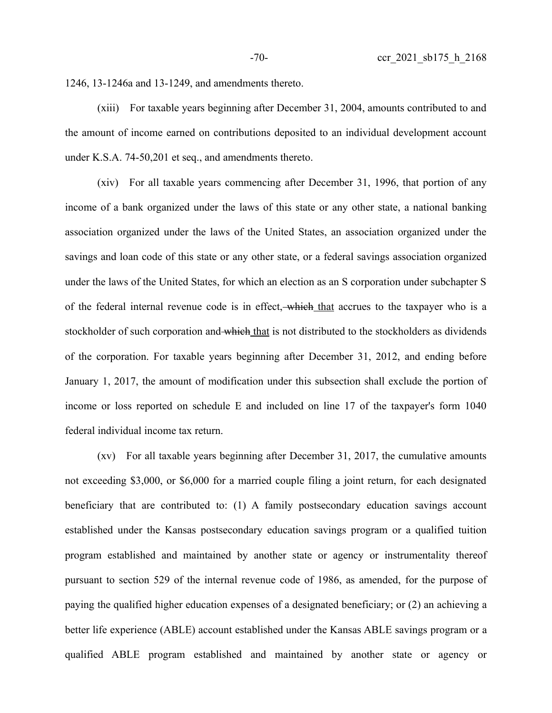1246, 13-1246a and 13-1249, and amendments thereto.

(xiii) For taxable years beginning after December 31, 2004, amounts contributed to and the amount of income earned on contributions deposited to an individual development account under K.S.A. 74-50,201 et seq., and amendments thereto.

(xiv) For all taxable years commencing after December 31, 1996, that portion of any income of a bank organized under the laws of this state or any other state, a national banking association organized under the laws of the United States, an association organized under the savings and loan code of this state or any other state, or a federal savings association organized under the laws of the United States, for which an election as an S corporation under subchapter S of the federal internal revenue code is in effect, which that accrues to the taxpayer who is a stockholder of such corporation and which that is not distributed to the stockholders as dividends of the corporation. For taxable years beginning after December 31, 2012, and ending before January 1, 2017, the amount of modification under this subsection shall exclude the portion of income or loss reported on schedule E and included on line 17 of the taxpayer's form 1040 federal individual income tax return.

(xv) For all taxable years beginning after December 31, 2017, the cumulative amounts not exceeding \$3,000, or \$6,000 for a married couple filing a joint return, for each designated beneficiary that are contributed to: (1) A family postsecondary education savings account established under the Kansas postsecondary education savings program or a qualified tuition program established and maintained by another state or agency or instrumentality thereof pursuant to section 529 of the internal revenue code of 1986, as amended, for the purpose of paying the qualified higher education expenses of a designated beneficiary; or (2) an achieving a better life experience (ABLE) account established under the Kansas ABLE savings program or a qualified ABLE program established and maintained by another state or agency or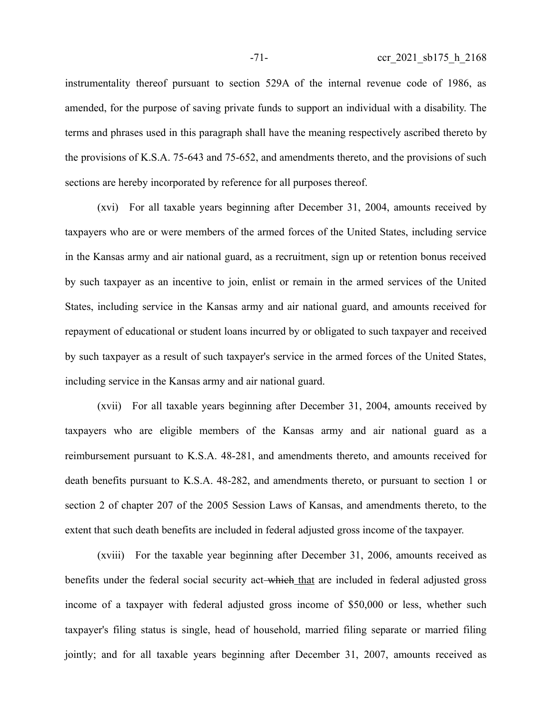instrumentality thereof pursuant to section 529A of the internal revenue code of 1986, as amended, for the purpose of saving private funds to support an individual with a disability. The terms and phrases used in this paragraph shall have the meaning respectively ascribed thereto by the provisions of K.S.A. 75-643 and 75-652, and amendments thereto, and the provisions of such sections are hereby incorporated by reference for all purposes thereof.

(xvi) For all taxable years beginning after December 31, 2004, amounts received by taxpayers who are or were members of the armed forces of the United States, including service in the Kansas army and air national guard, as a recruitment, sign up or retention bonus received by such taxpayer as an incentive to join, enlist or remain in the armed services of the United States, including service in the Kansas army and air national guard, and amounts received for repayment of educational or student loans incurred by or obligated to such taxpayer and received by such taxpayer as a result of such taxpayer's service in the armed forces of the United States, including service in the Kansas army and air national guard.

(xvii) For all taxable years beginning after December 31, 2004, amounts received by taxpayers who are eligible members of the Kansas army and air national guard as a reimbursement pursuant to K.S.A. 48-281, and amendments thereto, and amounts received for death benefits pursuant to K.S.A. 48-282, and amendments thereto, or pursuant to section 1 or section 2 of chapter 207 of the 2005 Session Laws of Kansas, and amendments thereto, to the extent that such death benefits are included in federal adjusted gross income of the taxpayer.

(xviii) For the taxable year beginning after December 31, 2006, amounts received as benefits under the federal social security act—which that are included in federal adjusted gross income of a taxpayer with federal adjusted gross income of \$50,000 or less, whether such taxpayer's filing status is single, head of household, married filing separate or married filing jointly; and for all taxable years beginning after December 31, 2007, amounts received as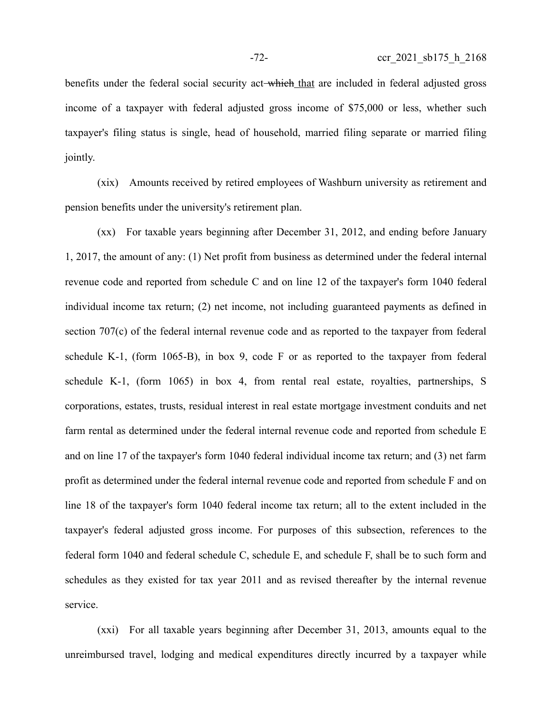benefits under the federal social security act-which that are included in federal adjusted gross income of a taxpayer with federal adjusted gross income of \$75,000 or less, whether such taxpayer's filing status is single, head of household, married filing separate or married filing jointly.

(xix) Amounts received by retired employees of Washburn university as retirement and pension benefits under the university's retirement plan.

(xx) For taxable years beginning after December 31, 2012, and ending before January 1, 2017, the amount of any: (1) Net profit from business as determined under the federal internal revenue code and reported from schedule C and on line 12 of the taxpayer's form 1040 federal individual income tax return; (2) net income, not including guaranteed payments as defined in section 707(c) of the federal internal revenue code and as reported to the taxpayer from federal schedule K-1, (form 1065-B), in box 9, code F or as reported to the taxpayer from federal schedule K-1, (form 1065) in box 4, from rental real estate, royalties, partnerships, S corporations, estates, trusts, residual interest in real estate mortgage investment conduits and net farm rental as determined under the federal internal revenue code and reported from schedule E and on line 17 of the taxpayer's form 1040 federal individual income tax return; and (3) net farm profit as determined under the federal internal revenue code and reported from schedule F and on line 18 of the taxpayer's form 1040 federal income tax return; all to the extent included in the taxpayer's federal adjusted gross income. For purposes of this subsection, references to the federal form 1040 and federal schedule C, schedule E, and schedule F, shall be to such form and schedules as they existed for tax year 2011 and as revised thereafter by the internal revenue service.

(xxi) For all taxable years beginning after December 31, 2013, amounts equal to the unreimbursed travel, lodging and medical expenditures directly incurred by a taxpayer while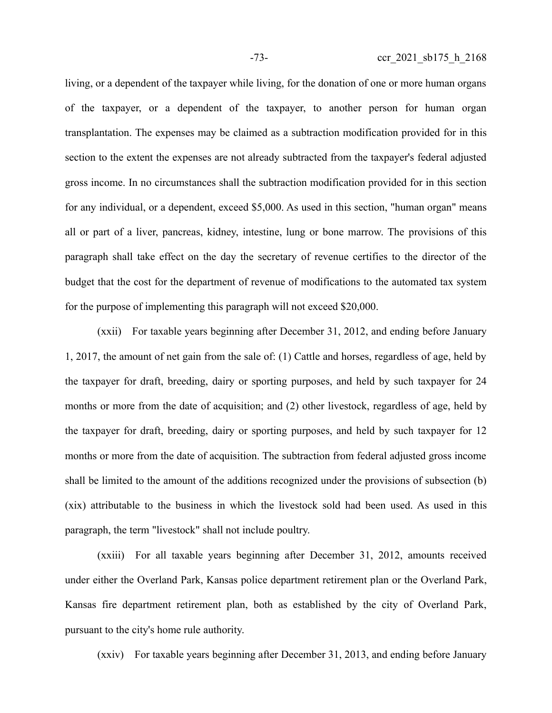living, or a dependent of the taxpayer while living, for the donation of one or more human organs of the taxpayer, or a dependent of the taxpayer, to another person for human organ transplantation. The expenses may be claimed as a subtraction modification provided for in this section to the extent the expenses are not already subtracted from the taxpayer's federal adjusted gross income. In no circumstances shall the subtraction modification provided for in this section for any individual, or a dependent, exceed \$5,000. As used in this section, "human organ" means all or part of a liver, pancreas, kidney, intestine, lung or bone marrow. The provisions of this paragraph shall take effect on the day the secretary of revenue certifies to the director of the budget that the cost for the department of revenue of modifications to the automated tax system for the purpose of implementing this paragraph will not exceed \$20,000.

(xxii) For taxable years beginning after December 31, 2012, and ending before January 1, 2017, the amount of net gain from the sale of: (1) Cattle and horses, regardless of age, held by the taxpayer for draft, breeding, dairy or sporting purposes, and held by such taxpayer for 24 months or more from the date of acquisition; and (2) other livestock, regardless of age, held by the taxpayer for draft, breeding, dairy or sporting purposes, and held by such taxpayer for 12 months or more from the date of acquisition. The subtraction from federal adjusted gross income shall be limited to the amount of the additions recognized under the provisions of subsection (b) (xix) attributable to the business in which the livestock sold had been used. As used in this paragraph, the term "livestock" shall not include poultry.

(xxiii) For all taxable years beginning after December 31, 2012, amounts received under either the Overland Park, Kansas police department retirement plan or the Overland Park, Kansas fire department retirement plan, both as established by the city of Overland Park, pursuant to the city's home rule authority.

(xxiv) For taxable years beginning after December 31, 2013, and ending before January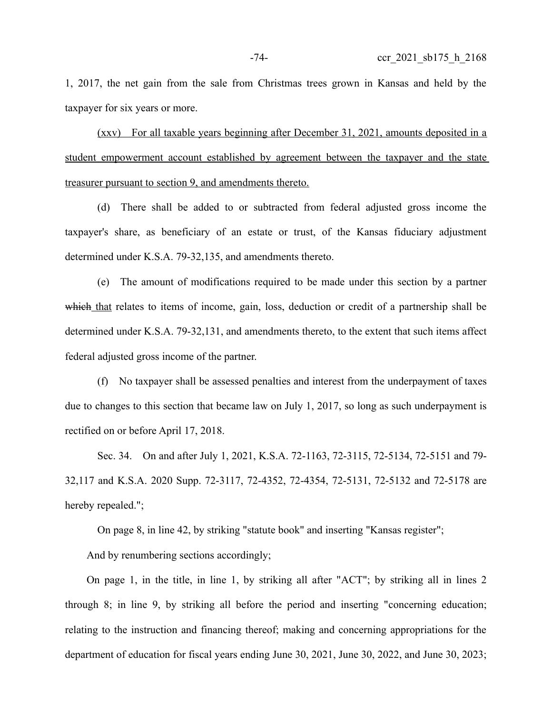1, 2017, the net gain from the sale from Christmas trees grown in Kansas and held by the taxpayer for six years or more.

(xxv) For all taxable years beginning after December 31, 2021, amounts deposited in a student empowerment account established by agreement between the taxpayer and the state treasurer pursuant to section 9, and amendments thereto.

(d) There shall be added to or subtracted from federal adjusted gross income the taxpayer's share, as beneficiary of an estate or trust, of the Kansas fiduciary adjustment determined under K.S.A. 79-32,135, and amendments thereto.

(e) The amount of modifications required to be made under this section by a partner which that relates to items of income, gain, loss, deduction or credit of a partnership shall be determined under K.S.A. 79-32,131, and amendments thereto, to the extent that such items affect federal adjusted gross income of the partner.

(f) No taxpayer shall be assessed penalties and interest from the underpayment of taxes due to changes to this section that became law on July 1, 2017, so long as such underpayment is rectified on or before April 17, 2018.

Sec. 34. On and after July 1, 2021, K.S.A. 72-1163, 72-3115, 72-5134, 72-5151 and 79- 32,117 and K.S.A. 2020 Supp. 72-3117, 72-4352, 72-4354, 72-5131, 72-5132 and 72-5178 are hereby repealed.";

On page 8, in line 42, by striking "statute book" and inserting "Kansas register";

And by renumbering sections accordingly;

On page 1, in the title, in line 1, by striking all after "ACT"; by striking all in lines 2 through 8; in line 9, by striking all before the period and inserting "concerning education; relating to the instruction and financing thereof; making and concerning appropriations for the department of education for fiscal years ending June 30, 2021, June 30, 2022, and June 30, 2023;